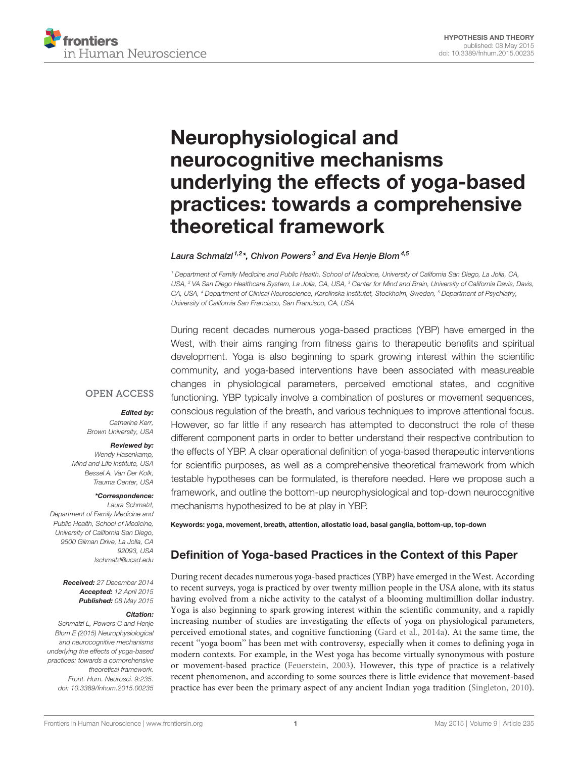

# [Neurophysiological and](http://journal.frontiersin.org/article/10.3389/fnhum.2015.00235/abstract) [neurocognitive mechanisms](http://journal.frontiersin.org/article/10.3389/fnhum.2015.00235/abstract) [underlying the effects of yoga-based](http://journal.frontiersin.org/article/10.3389/fnhum.2015.00235/abstract) [practices: towards a comprehensive](http://journal.frontiersin.org/article/10.3389/fnhum.2015.00235/abstract) [theoretical framework](http://journal.frontiersin.org/article/10.3389/fnhum.2015.00235/abstract)

[Laura Schmalzl](http://community.frontiersin.org/people/u/23456)<sup>1,2\*</sup>, [Chivon Powers](http://community.frontiersin.org/people/u/201535)<sup>3</sup> and [Eva Henje Blom](http://community.frontiersin.org/people/u/117423)<sup>4,5</sup>

<sup>1</sup> Department of Family Medicine and Public Health, School of Medicine, University of California San Diego, La Jolla, CA, USA, <sup>2</sup> VA San Diego Healthcare System, La Jolla, CA, USA, <sup>3</sup> Center for Mind and Brain, University of California Davis, Davis, CA, USA, <sup>4</sup> Department of Clinical Neuroscience, Karolinska Institutet, Stockholm, Sweden, <sup>5</sup> Department of Psychiatry, University of California San Francisco, San Francisco, CA, USA

During recent decades numerous yoga-based practices (YBP) have emerged in the West, with their aims ranging from fitness gains to therapeutic benefits and spiritual development. Yoga is also beginning to spark growing interest within the scientific community, and yoga-based interventions have been associated with measureable changes in physiological parameters, perceived emotional states, and cognitive functioning. YBP typically involve a combination of postures or movement sequences, conscious regulation of the breath, and various techniques to improve attentional focus. However, so far little if any research has attempted to deconstruct the role of these different component parts in order to better understand their respective contribution to the effects of YBP. A clear operational definition of yoga-based therapeutic interventions for scientific purposes, as well as a comprehensive theoretical framework from which testable hypotheses can be formulated, is therefore needed. Here we propose such a framework, and outline the bottom-up neurophysiological and top-down neurocognitive mechanisms hypothesized to be at play in YBP.

**OPEN ACCESS** 

#### Edited by:

Catherine Kerr Brown University, USA

#### Reviewed by:

Wendy Hasenkamp, Mind and Life Institute, USA Bessel A. Van Der Kolk, Trauma Center, USA

#### \*Correspondence:

Laura Schmalzl, Department of Family Medicine and Public Health, School of Medicine, University of California San Diego, 9500 Gilman Drive, La Jolla, CA 92093, USA [lschmalzl@ucsd.edu](mailto:lschmalzl@ucsd.edu)

> Received: 27 December 2014 Accepted: 12 April 2015 Published: 08 May 2015

#### Citation:

Schmalzl L, Powers C and Henje Blom E (2015) Neurophysiological and neurocognitive mechanisms underlying the effects of yoga-based practices: towards a comprehensive theoretical framework. Front. Hum. Neurosci. 9:235. [doi: 10.3389/fnhum.2015.00235](http://dx.doi.org/10.3389/fnhum.2015.00235) Keywords: yoga, movement, breath, attention, allostatic load, basal ganglia, bottom-up, top-down

# Definition of Yoga-based Practices in the Context of this Paper

During recent decades numerous yoga-based practices (YBP) have emerged in the West. According to recent surveys, yoga is practiced by over twenty million people in the USA alone, with its status having evolved from a niche activity to the catalyst of a blooming multimillion dollar industry. Yoga is also beginning to spark growing interest within the scientific community, and a rapidly increasing number of studies are investigating the effects of yoga on physiological parameters, perceived emotional states, and cognitive functioning [\(Gard et al., 2014a\)](#page-15-0). At the same time, the recent ''yoga boom'' has been met with controversy, especially when it comes to defining yoga in modern contexts. For example, in the West yoga has become virtually synonymous with posture or movement-based practice [\(Feuerstein, 2003\)](#page-15-1). However, this type of practice is a relatively recent phenomenon, and according to some sources there is little evidence that movement-based practice has ever been the primary aspect of any ancient Indian yoga tradition [\(Singleton, 2010\)](#page-17-0).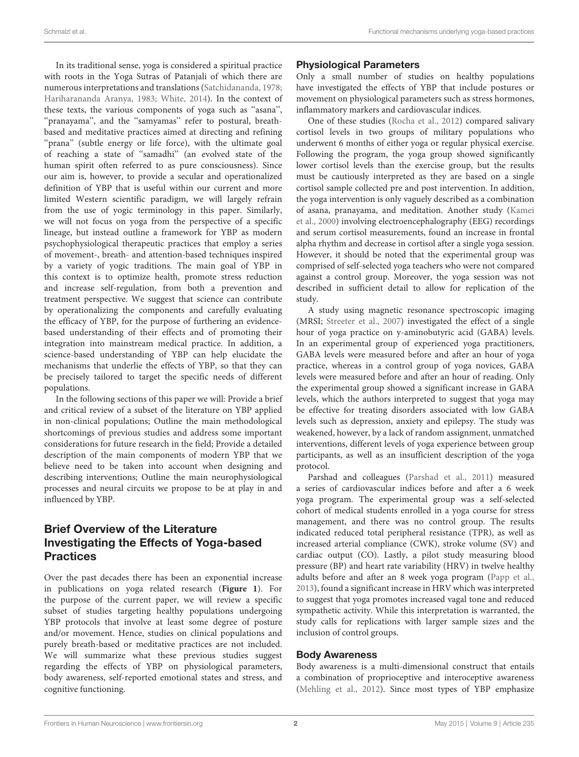In its traditional sense, yoga is considered a spiritual practice with roots in the Yoga Sutras of Patanjali of which there are numerous interpretations and translations [\(Satchidananda,](#page-17-1) [1978;](#page-17-1) [Hariharananda Aranya,](#page-16-0) [1983;](#page-16-0) [White,](#page-18-0) [2014\)](#page-18-0). In the context of these texts, the various components of yoga such as ''asana'', ''pranayama'', and the ''samyamas'' refer to postural, breathbased and meditative practices aimed at directing and refining "prana" (subtle energy or life force), with the ultimate goal of reaching a state of ''samadhi'' (an evolved state of the human spirit often referred to as pure consciousness). Since our aim is, however, to provide a secular and operationalized definition of YBP that is useful within our current and more limited Western scientific paradigm, we will largely refrain from the use of yogic terminology in this paper. Similarly, we will not focus on yoga from the perspective of a specific lineage, but instead outline a framework for YBP as modern psychophysiological therapeutic practices that employ a series of movement-, breath- and attention-based techniques inspired by a variety of yogic traditions. The main goal of YBP in this context is to optimize health, promote stress reduction and increase self-regulation, from both a prevention and treatment perspective. We suggest that science can contribute by operationalizing the components and carefully evaluating the efficacy of YBP, for the purpose of furthering an evidencebased understanding of their effects and of promoting their integration into mainstream medical practice. In addition, a science-based understanding of YBP can help elucidate the mechanisms that underlie the effects of YBP, so that they can be precisely tailored to target the specific needs of different populations.

In the following sections of this paper we will: Provide a brief and critical review of a subset of the literature on YBP applied in non-clinical populations; Outline the main methodological shortcomings of previous studies and address some important considerations for future research in the field; Provide a detailed description of the main components of modern YBP that we believe need to be taken into account when designing and describing interventions; Outline the main neurophysiological processes and neural circuits we propose to be at play in and influenced by YBP.

# Brief Overview of the Literature Investigating the Effects of Yoga-based **Practices**

Over the past decades there has been an exponential increase in publications on yoga related research (**[Figure 1](#page-2-0)**). For the purpose of the current paper, we will review a specific subset of studies targeting healthy populations undergoing YBP protocols that involve at least some degree of posture and/or movement. Hence, studies on clinical populations and purely breath-based or meditative practices are not included. We will summarize what these previous studies suggest regarding the effects of YBP on physiological parameters, body awareness, self-reported emotional states and stress, and cognitive functioning.

#### Physiological Parameters

Only a small number of studies on healthy populations have investigated the effects of YBP that include postures or movement on physiological parameters such as stress hormones, inflammatory markers and cardiovascular indices.

One of these studies [\(Rocha et al.,](#page-17-2) [2012\)](#page-17-2) compared salivary cortisol levels in two groups of military populations who underwent 6 months of either yoga or regular physical exercise. Following the program, the yoga group showed significantly lower cortisol levels than the exercise group, but the results must be cautiously interpreted as they are based on a single cortisol sample collected pre and post intervention. In addition, the yoga intervention is only vaguely described as a combination of asana, pranayama, and meditation. Another study [\(Kamei](#page-16-1) [et al.,](#page-16-1) [2000\)](#page-16-1) involving electroencephalography (EEG) recordings and serum cortisol measurements, found an increase in frontal alpha rhythm and decrease in cortisol after a single yoga session. However, it should be noted that the experimental group was comprised of self-selected yoga teachers who were not compared against a control group. Moreover, the yoga session was not described in sufficient detail to allow for replication of the study.

A study using magnetic resonance spectroscopic imaging (MRSI; [Streeter et al.,](#page-17-3) [2007\)](#page-17-3) investigated the effect of a single hour of yoga practice on y-aminobutyric acid (GABA) levels. In an experimental group of experienced yoga practitioners, GABA levels were measured before and after an hour of yoga practice, whereas in a control group of yoga novices, GABA levels were measured before and after an hour of reading. Only the experimental group showed a significant increase in GABA levels, which the authors interpreted to suggest that yoga may be effective for treating disorders associated with low GABA levels such as depression, anxiety and epilepsy. The study was weakened, however, by a lack of random assignment, unmatched interventions, different levels of yoga experience between group participants, as well as an insufficient description of the yoga protocol.

Parshad and colleagues [\(Parshad et al.,](#page-17-4) [2011\)](#page-17-4) measured a series of cardiovascular indices before and after a 6 week yoga program. The experimental group was a self-selected cohort of medical students enrolled in a yoga course for stress management, and there was no control group. The results indicated reduced total peripheral resistance (TPR), as well as increased arterial compliance (CWK), stroke volume (SV) and cardiac output (CO). Lastly, a pilot study measuring blood pressure (BP) and heart rate variability (HRV) in twelve healthy adults before and after an 8 week yoga program [\(Papp et al.,](#page-17-5) [2013\)](#page-17-5), found a significant increase in HRV which was interpreted to suggest that yoga promotes increased vagal tone and reduced sympathetic activity. While this interpretation is warranted, the study calls for replications with larger sample sizes and the inclusion of control groups.

#### Body Awareness

Body awareness is a multi-dimensional construct that entails a combination of proprioceptive and interoceptive awareness [\(Mehling et al.,](#page-16-2) [2012\)](#page-16-2). Since most types of YBP emphasize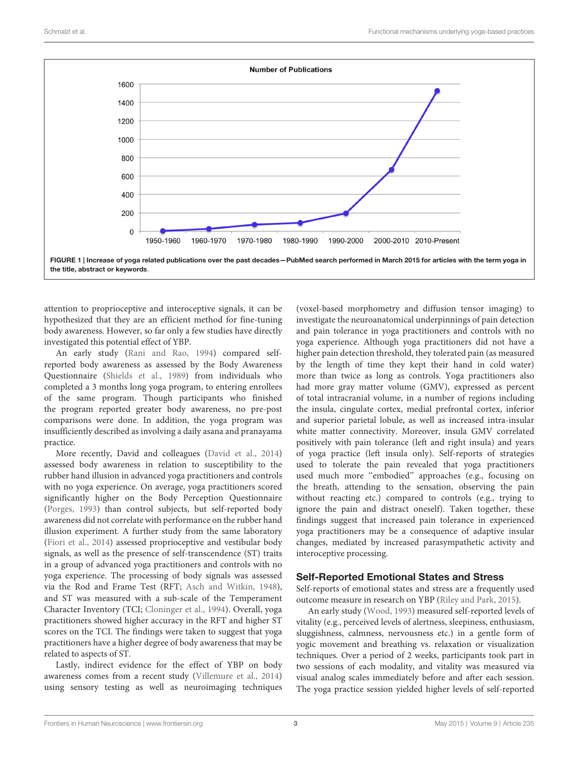

<span id="page-2-0"></span>attention to proprioceptive and interoceptive signals, it can be hypothesized that they are an efficient method for fine-tuning body awareness. However, so far only a few studies have directly investigated this potential effect of YBP.

An early study [\(Rani and Rao,](#page-17-6) [1994\)](#page-17-6) compared selfreported body awareness as assessed by the Body Awareness Questionnaire [\(Shields et al.,](#page-17-7) [1989\)](#page-17-7) from individuals who completed a 3 months long yoga program, to entering enrollees of the same program. Though participants who finished the program reported greater body awareness, no pre-post comparisons were done. In addition, the yoga program was insufficiently described as involving a daily asana and pranayama practice.

More recently, David and colleagues [\(David et al.,](#page-15-2) [2014\)](#page-15-2) assessed body awareness in relation to susceptibility to the rubber hand illusion in advanced yoga practitioners and controls with no yoga experience. On average, yoga practitioners scored significantly higher on the Body Perception Questionnaire [\(Porges,](#page-17-8) [1993\)](#page-17-8) than control subjects, but self-reported body awareness did not correlate with performance on the rubber hand illusion experiment. A further study from the same laboratory [\(Fiori et al.,](#page-15-3) [2014\)](#page-15-3) assessed proprioceptive and vestibular body signals, as well as the presence of self-transcendence (ST) traits in a group of advanced yoga practitioners and controls with no yoga experience. The processing of body signals was assessed via the Rod and Frame Test (RFT; [Asch and Witkin,](#page-14-0) [1948\)](#page-14-0), and ST was measured with a sub-scale of the Temperament Character Inventory (TCI; [Cloninger et al.,](#page-15-4) [1994\)](#page-15-4). Overall, yoga practitioners showed higher accuracy in the RFT and higher ST scores on the TCI. The findings were taken to suggest that yoga practitioners have a higher degree of body awareness that may be related to aspects of ST.

Lastly, indirect evidence for the effect of YBP on body awareness comes from a recent study [\(Villemure et al.,](#page-17-9) [2014\)](#page-17-9) using sensory testing as well as neuroimaging techniques

(voxel-based morphometry and diffusion tensor imaging) to investigate the neuroanatomical underpinnings of pain detection and pain tolerance in yoga practitioners and controls with no yoga experience. Although yoga practitioners did not have a higher pain detection threshold, they tolerated pain (as measured by the length of time they kept their hand in cold water) more than twice as long as controls. Yoga practitioners also had more gray matter volume (GMV), expressed as percent of total intracranial volume, in a number of regions including the insula, cingulate cortex, medial prefrontal cortex, inferior and superior parietal lobule, as well as increased intra-insular white matter connectivity. Moreover, insula GMV correlated positively with pain tolerance (left and right insula) and years of yoga practice (left insula only). Self-reports of strategies used to tolerate the pain revealed that yoga practitioners used much more ''embodied'' approaches (e.g., focusing on the breath, attending to the sensation, observing the pain without reacting etc.) compared to controls (e.g., trying to ignore the pain and distract oneself). Taken together, these findings suggest that increased pain tolerance in experienced yoga practitioners may be a consequence of adaptive insular changes, mediated by increased parasympathetic activity and interoceptive processing.

#### Self-Reported Emotional States and Stress

Self-reports of emotional states and stress are a frequently used outcome measure in research on YBP [\(Riley and Park,](#page-17-10) [2015\)](#page-17-10).

An early study [\(Wood,](#page-18-1) [1993\)](#page-18-1) measured self-reported levels of vitality (e.g., perceived levels of alertness, sleepiness, enthusiasm, sluggishness, calmness, nervousness etc.) in a gentle form of yogic movement and breathing vs. relaxation or visualization techniques. Over a period of 2 weeks, participants took part in two sessions of each modality, and vitality was measured via visual analog scales immediately before and after each session. The yoga practice session yielded higher levels of self-reported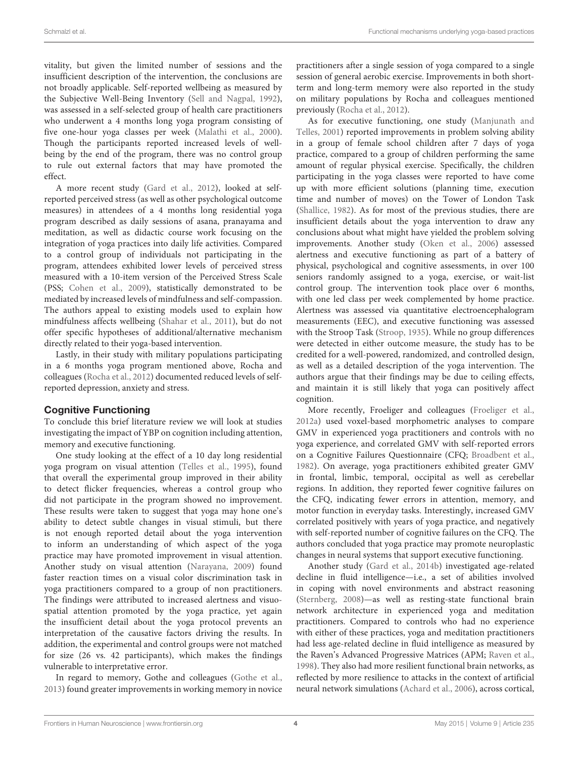vitality, but given the limited number of sessions and the insufficient description of the intervention, the conclusions are not broadly applicable. Self-reported wellbeing as measured by the Subjective Well-Being Inventory [\(Sell and Nagpal,](#page-17-11) [1992\)](#page-17-11), was assessed in a self-selected group of health care practitioners who underwent a 4 months long yoga program consisting of five one-hour yoga classes per week [\(Malathi et al.,](#page-16-3) [2000\)](#page-16-3). Though the participants reported increased levels of wellbeing by the end of the program, there was no control group to rule out external factors that may have promoted the effect.

A more recent study [\(Gard et al.,](#page-15-5) [2012\)](#page-15-5), looked at selfreported perceived stress (as well as other psychological outcome measures) in attendees of a 4 months long residential yoga program described as daily sessions of asana, pranayama and meditation, as well as didactic course work focusing on the integration of yoga practices into daily life activities. Compared to a control group of individuals not participating in the program, attendees exhibited lower levels of perceived stress measured with a 10-item version of the Perceived Stress Scale (PSS; [Cohen et al.,](#page-15-6) [2009\)](#page-15-6), statistically demonstrated to be mediated by increased levels of mindfulness and self-compassion. The authors appeal to existing models used to explain how mindfulness affects wellbeing [\(Shahar et al.,](#page-17-12) [2011\)](#page-17-12), but do not offer specific hypotheses of additional/alternative mechanism directly related to their yoga-based intervention.

Lastly, in their study with military populations participating in a 6 months yoga program mentioned above, Rocha and colleagues [\(Rocha et al.,](#page-17-2) [2012\)](#page-17-2) documented reduced levels of selfreported depression, anxiety and stress.

#### Cognitive Functioning

To conclude this brief literature review we will look at studies investigating the impact of YBP on cognition including attention, memory and executive functioning.

One study looking at the effect of a 10 day long residential yoga program on visual attention [\(Telles et al.,](#page-17-13) [1995\)](#page-17-13), found that overall the experimental group improved in their ability to detect flicker frequencies, whereas a control group who did not participate in the program showed no improvement. These results were taken to suggest that yoga may hone one's ability to detect subtle changes in visual stimuli, but there is not enough reported detail about the yoga intervention to inform an understanding of which aspect of the yoga practice may have promoted improvement in visual attention. Another study on visual attention [\(Narayana,](#page-16-4) [2009\)](#page-16-4) found faster reaction times on a visual color discrimination task in yoga practitioners compared to a group of non practitioners. The findings were attributed to increased alertness and visuospatial attention promoted by the yoga practice, yet again the insufficient detail about the yoga protocol prevents an interpretation of the causative factors driving the results. In addition, the experimental and control groups were not matched for size (26 vs. 42 participants), which makes the findings vulnerable to interpretative error.

In regard to memory, Gothe and colleagues [\(Gothe et al.,](#page-15-7) [2013\)](#page-15-7) found greater improvements in working memory in novice practitioners after a single session of yoga compared to a single session of general aerobic exercise. Improvements in both shortterm and long-term memory were also reported in the study on military populations by Rocha and colleagues mentioned previously [\(Rocha et al.,](#page-17-2) [2012\)](#page-17-2).

As for executive functioning, one study [\(Manjunath and](#page-16-5) [Telles,](#page-16-5) [2001\)](#page-16-5) reported improvements in problem solving ability in a group of female school children after 7 days of yoga practice, compared to a group of children performing the same amount of regular physical exercise. Specifically, the children participating in the yoga classes were reported to have come up with more efficient solutions (planning time, execution time and number of moves) on the Tower of London Task [\(Shallice,](#page-17-14) [1982\)](#page-17-14). As for most of the previous studies, there are insufficient details about the yoga intervention to draw any conclusions about what might have yielded the problem solving improvements. Another study [\(Oken et al.,](#page-16-6) [2006\)](#page-16-6) assessed alertness and executive functioning as part of a battery of physical, psychological and cognitive assessments, in over 100 seniors randomly assigned to a yoga, exercise, or wait-list control group. The intervention took place over 6 months, with one led class per week complemented by home practice. Alertness was assessed via quantitative electroencephalogram measurements (EEC), and executive functioning was assessed with the Stroop Task [\(Stroop,](#page-17-15) [1935\)](#page-17-15). While no group differences were detected in either outcome measure, the study has to be credited for a well-powered, randomized, and controlled design, as well as a detailed description of the yoga intervention. The authors argue that their findings may be due to ceiling effects, and maintain it is still likely that yoga can positively affect cognition.

More recently, Froeliger and colleagues [\(Froeliger et al.,](#page-15-8) [2012a\)](#page-15-8) used voxel-based morphometric analyses to compare GMV in experienced yoga practitioners and controls with no yoga experience, and correlated GMV with self-reported errors on a Cognitive Failures Questionnaire (CFQ; [Broadbent et al.,](#page-14-1) [1982\)](#page-14-1). On average, yoga practitioners exhibited greater GMV in frontal, limbic, temporal, occipital as well as cerebellar regions. In addition, they reported fewer cognitive failures on the CFQ, indicating fewer errors in attention, memory, and motor function in everyday tasks. Interestingly, increased GMV correlated positively with years of yoga practice, and negatively with self-reported number of cognitive failures on the CFQ. The authors concluded that yoga practice may promote neuroplastic changes in neural systems that support executive functioning.

Another study [\(Gard et al.,](#page-15-9) [2014b\)](#page-15-9) investigated age-related decline in fluid intelligence—i.e., a set of abilities involved in coping with novel environments and abstract reasoning [\(Sternberg,](#page-17-16) [2008\)](#page-17-16)—as well as resting-state functional brain network architecture in experienced yoga and meditation practitioners. Compared to controls who had no experience with either of these practices, yoga and meditation practitioners had less age-related decline in fluid intelligence as measured by the Raven's Advanced Progressive Matrices (APM; [Raven et al.,](#page-17-17) [1998\)](#page-17-17). They also had more resilient functional brain networks, as reflected by more resilience to attacks in the context of artificial neural network simulations [\(Achard et al.,](#page-14-2) [2006\)](#page-14-2), across cortical,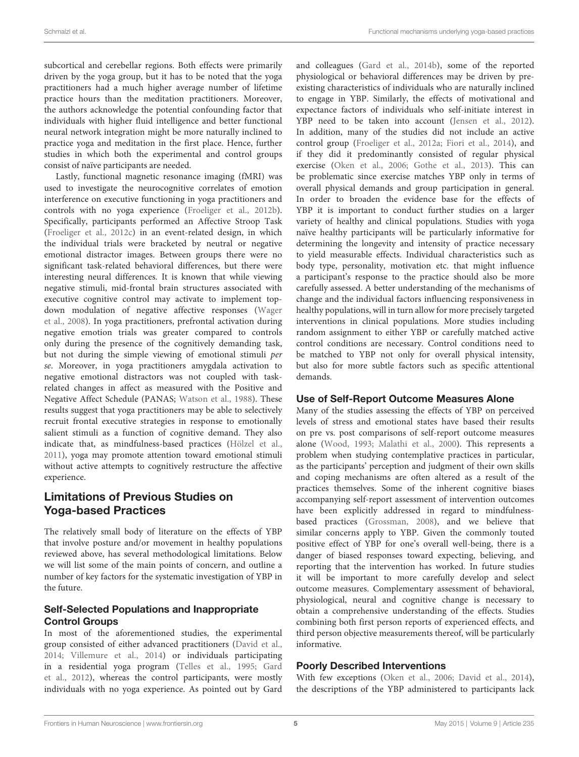subcortical and cerebellar regions. Both effects were primarily driven by the yoga group, but it has to be noted that the yoga practitioners had a much higher average number of lifetime practice hours than the meditation practitioners. Moreover, the authors acknowledge the potential confounding factor that individuals with higher fluid intelligence and better functional neural network integration might be more naturally inclined to practice yoga and meditation in the first place. Hence, further studies in which both the experimental and control groups consist of naïve participants are needed.

Lastly, functional magnetic resonance imaging (fMRI) was used to investigate the neurocognitive correlates of emotion interference on executive functioning in yoga practitioners and controls with no yoga experience [\(Froeliger et al.,](#page-15-10) [2012b\)](#page-15-10). Specifically, participants performed an Affective Stroop Task [\(Froeliger et al.,](#page-15-11) [2012c\)](#page-15-11) in an event-related design, in which the individual trials were bracketed by neutral or negative emotional distractor images. Between groups there were no significant task-related behavioral differences, but there were interesting neural differences. It is known that while viewing negative stimuli, mid-frontal brain structures associated with executive cognitive control may activate to implement topdown modulation of negative affective responses [\(Wager](#page-17-18) [et al.,](#page-17-18) [2008\)](#page-17-18). In yoga practitioners, prefrontal activation during negative emotion trials was greater compared to controls only during the presence of the cognitively demanding task, but not during the simple viewing of emotional stimuli per se. Moreover, in yoga practitioners amygdala activation to negative emotional distractors was not coupled with taskrelated changes in affect as measured with the Positive and Negative Affect Schedule (PANAS; [Watson et al.,](#page-18-2) [1988\)](#page-18-2). These results suggest that yoga practitioners may be able to selectively recruit frontal executive strategies in response to emotionally salient stimuli as a function of cognitive demand. They also indicate that, as mindfulness-based practices [\(Hölzel et al.,](#page-16-7) [2011\)](#page-16-7), yoga may promote attention toward emotional stimuli without active attempts to cognitively restructure the affective experience.

# Limitations of Previous Studies on Yoga-based Practices

The relatively small body of literature on the effects of YBP that involve posture and/or movement in healthy populations reviewed above, has several methodological limitations. Below we will list some of the main points of concern, and outline a number of key factors for the systematic investigation of YBP in the future.

## Self-Selected Populations and Inappropriate Control Groups

In most of the aforementioned studies, the experimental group consisted of either advanced practitioners [\(David et al.,](#page-15-2) [2014;](#page-15-2) [Villemure et al.,](#page-17-9) [2014\)](#page-17-9) or individuals participating in a residential yoga program [\(Telles et al.,](#page-17-13) [1995;](#page-17-13) [Gard](#page-15-5) [et al.,](#page-15-5) [2012\)](#page-15-5), whereas the control participants, were mostly individuals with no yoga experience. As pointed out by Gard and colleagues [\(Gard et al.,](#page-15-9) [2014b\)](#page-15-9), some of the reported physiological or behavioral differences may be driven by preexisting characteristics of individuals who are naturally inclined to engage in YBP. Similarly, the effects of motivational and expectance factors of individuals who self-initiate interest in YBP need to be taken into account [\(Jensen et al.,](#page-16-8) [2012\)](#page-16-8). In addition, many of the studies did not include an active control group [\(Froeliger et al.,](#page-15-8) [2012a;](#page-15-8) [Fiori et al.,](#page-15-3) [2014\)](#page-15-3), and if they did it predominantly consisted of regular physical exercise [\(Oken et al.,](#page-16-6) [2006;](#page-16-6) [Gothe et al.,](#page-15-7) [2013\)](#page-15-7). This can be problematic since exercise matches YBP only in terms of overall physical demands and group participation in general. In order to broaden the evidence base for the effects of YBP it is important to conduct further studies on a larger variety of healthy and clinical populations. Studies with yoga naïve healthy participants will be particularly informative for determining the longevity and intensity of practice necessary to yield measurable effects. Individual characteristics such as body type, personality, motivation etc. that might influence a participant's response to the practice should also be more carefully assessed. A better understanding of the mechanisms of change and the individual factors influencing responsiveness in healthy populations, will in turn allow for more precisely targeted interventions in clinical populations. More studies including random assignment to either YBP or carefully matched active control conditions are necessary. Control conditions need to be matched to YBP not only for overall physical intensity, but also for more subtle factors such as specific attentional demands.

## Use of Self-Report Outcome Measures Alone

Many of the studies assessing the effects of YBP on perceived levels of stress and emotional states have based their results on pre vs. post comparisons of self-report outcome measures alone [\(Wood,](#page-18-1) [1993;](#page-18-1) [Malathi et al.,](#page-16-3) [2000\)](#page-16-3). This represents a problem when studying contemplative practices in particular, as the participants' perception and judgment of their own skills and coping mechanisms are often altered as a result of the practices themselves. Some of the inherent cognitive biases accompanying self-report assessment of intervention outcomes have been explicitly addressed in regard to mindfulnessbased practices [\(Grossman,](#page-16-9) [2008\)](#page-16-9), and we believe that similar concerns apply to YBP. Given the commonly touted positive effect of YBP for one's overall well-being, there is a danger of biased responses toward expecting, believing, and reporting that the intervention has worked. In future studies it will be important to more carefully develop and select outcome measures. Complementary assessment of behavioral, physiological, neural and cognitive change is necessary to obtain a comprehensive understanding of the effects. Studies combining both first person reports of experienced effects, and third person objective measurements thereof, will be particularly informative.

## Poorly Described Interventions

With few exceptions [\(Oken et al.,](#page-16-6) [2006;](#page-16-6) [David et al.,](#page-15-2) [2014\)](#page-15-2), the descriptions of the YBP administered to participants lack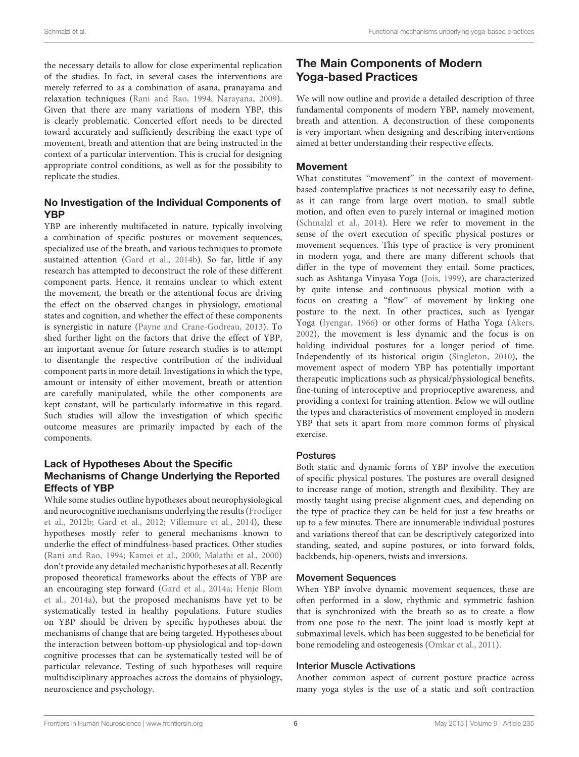the necessary details to allow for close experimental replication of the studies. In fact, in several cases the interventions are merely referred to as a combination of asana, pranayama and relaxation techniques [\(Rani and Rao,](#page-17-6) [1994;](#page-17-6) [Narayana,](#page-16-4) [2009\)](#page-16-4). Given that there are many variations of modern YBP, this is clearly problematic. Concerted effort needs to be directed toward accurately and sufficiently describing the exact type of movement, breath and attention that are being instructed in the context of a particular intervention. This is crucial for designing appropriate control conditions, as well as for the possibility to replicate the studies.

## No Investigation of the Individual Components of YBP

YBP are inherently multifaceted in nature, typically involving a combination of specific postures or movement sequences, specialized use of the breath, and various techniques to promote sustained attention [\(Gard et al.,](#page-15-9) [2014b\)](#page-15-9). So far, little if any research has attempted to deconstruct the role of these different component parts. Hence, it remains unclear to which extent the movement, the breath or the attentional focus are driving the effect on the observed changes in physiology, emotional states and cognition, and whether the effect of these components is synergistic in nature [\(Payne and Crane-Godreau,](#page-17-19) [2013\)](#page-17-19). To shed further light on the factors that drive the effect of YBP, an important avenue for future research studies is to attempt to disentangle the respective contribution of the individual component parts in more detail. Investigations in which the type, amount or intensity of either movement, breath or attention are carefully manipulated, while the other components are kept constant, will be particularly informative in this regard. Such studies will allow the investigation of which specific outcome measures are primarily impacted by each of the components.

## Lack of Hypotheses About the Specific Mechanisms of Change Underlying the Reported Effects of YBP

While some studies outline hypotheses about neurophysiological and neurocognitive mechanisms underlying the results [\(Froeliger](#page-15-10) [et al.,](#page-15-10) [2012b;](#page-15-10) [Gard et al.,](#page-15-5) [2012;](#page-15-5) [Villemure et al.,](#page-17-9) [2014\)](#page-17-9), these hypotheses mostly refer to general mechanisms known to underlie the effect of mindfulness-based practices. Other studies [\(Rani and Rao,](#page-17-6) [1994;](#page-17-6) [Kamei et al.,](#page-16-1) [2000;](#page-16-1) [Malathi et al.,](#page-16-3) [2000\)](#page-16-3) don't provide any detailed mechanistic hypotheses at all. Recently proposed theoretical frameworks about the effects of YBP are an encouraging step forward [\(Gard et al.,](#page-15-0) [2014a;](#page-15-0) [Henje Blom](#page-16-10) [et al.,](#page-16-10) [2014a\)](#page-16-10), but the proposed mechanisms have yet to be systematically tested in healthy populations. Future studies on YBP should be driven by specific hypotheses about the mechanisms of change that are being targeted. Hypotheses about the interaction between bottom-up physiological and top-down cognitive processes that can be systematically tested will be of particular relevance. Testing of such hypotheses will require multidisciplinary approaches across the domains of physiology, neuroscience and psychology.

# The Main Components of Modern Yoga-based Practices

We will now outline and provide a detailed description of three fundamental components of modern YBP, namely movement, breath and attention. A deconstruction of these components is very important when designing and describing interventions aimed at better understanding their respective effects.

#### Movement

What constitutes "movement" in the context of movementbased contemplative practices is not necessarily easy to define, as it can range from large overt motion, to small subtle motion, and often even to purely internal or imagined motion [\(Schmalzl et al.,](#page-17-20) [2014\)](#page-17-20). Here we refer to movement in the sense of the overt execution of specific physical postures or movement sequences. This type of practice is very prominent in modern yoga, and there are many different schools that differ in the type of movement they entail. Some practices, such as Ashtanga Vinyasa Yoga [\(Jois,](#page-16-11) [1999\)](#page-16-11), are characterized by quite intense and continuous physical motion with a focus on creating a ''flow'' of movement by linking one posture to the next. In other practices, such as Iyengar Yoga [\(Iyengar,](#page-16-12) [1966\)](#page-16-12) or other forms of Hatha Yoga [\(Akers,](#page-14-3) [2002\)](#page-14-3), the movement is less dynamic and the focus is on holding individual postures for a longer period of time. Independently of its historical origin [\(Singleton,](#page-17-0) [2010\)](#page-17-0), the movement aspect of modern YBP has potentially important therapeutic implications such as physical/physiological benefits, fine-tuning of interoceptive and proprioceptive awareness, and providing a context for training attention. Below we will outline the types and characteristics of movement employed in modern YBP that sets it apart from more common forms of physical exercise.

## Postures

Both static and dynamic forms of YBP involve the execution of specific physical postures. The postures are overall designed to increase range of motion, strength and flexibility. They are mostly taught using precise alignment cues, and depending on the type of practice they can be held for just a few breaths or up to a few minutes. There are innumerable individual postures and variations thereof that can be descriptively categorized into standing, seated, and supine postures, or into forward folds, backbends, hip-openers, twists and inversions.

#### Movement Sequences

When YBP involve dynamic movement sequences, these are often performed in a slow, rhythmic and symmetric fashion that is synchronized with the breath so as to create a flow from one pose to the next. The joint load is mostly kept at submaximal levels, which has been suggested to be beneficial for bone remodeling and osteogenesis [\(Omkar et al.,](#page-16-13) [2011\)](#page-16-13).

#### Interior Muscle Activations

Another common aspect of current posture practice across many yoga styles is the use of a static and soft contraction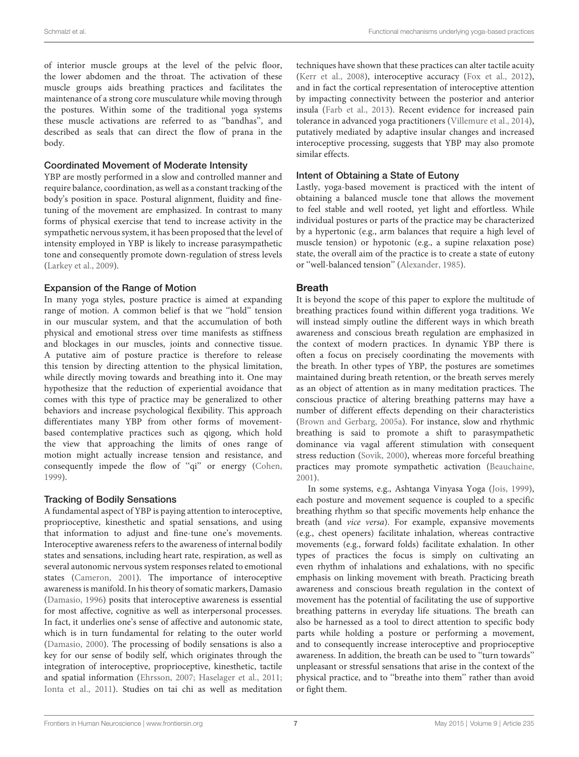of interior muscle groups at the level of the pelvic floor, the lower abdomen and the throat. The activation of these muscle groups aids breathing practices and facilitates the maintenance of a strong core musculature while moving through the postures. Within some of the traditional yoga systems these muscle activations are referred to as ''bandhas'', and described as seals that can direct the flow of prana in the body.

#### Coordinated Movement of Moderate Intensity

YBP are mostly performed in a slow and controlled manner and require balance, coordination, as well as a constant tracking of the body's position in space. Postural alignment, fluidity and finetuning of the movement are emphasized. In contrast to many forms of physical exercise that tend to increase activity in the sympathetic nervous system, it has been proposed that the level of intensity employed in YBP is likely to increase parasympathetic tone and consequently promote down-regulation of stress levels [\(Larkey et al.,](#page-16-14) [2009\)](#page-16-14).

#### Expansion of the Range of Motion

In many yoga styles, posture practice is aimed at expanding range of motion. A common belief is that we ''hold'' tension in our muscular system, and that the accumulation of both physical and emotional stress over time manifests as stiffness and blockages in our muscles, joints and connective tissue. A putative aim of posture practice is therefore to release this tension by directing attention to the physical limitation, while directly moving towards and breathing into it. One may hypothesize that the reduction of experiential avoidance that comes with this type of practice may be generalized to other behaviors and increase psychological flexibility. This approach differentiates many YBP from other forms of movementbased contemplative practices such as qigong, which hold the view that approaching the limits of ones range of motion might actually increase tension and resistance, and consequently impede the flow of "qi" or energy [\(Cohen,](#page-15-12) [1999\)](#page-15-12).

#### Tracking of Bodily Sensations

A fundamental aspect of YBP is paying attention to interoceptive, proprioceptive, kinesthetic and spatial sensations, and using that information to adjust and fine-tune one's movements. Interoceptive awareness refers to the awareness of internal bodily states and sensations, including heart rate, respiration, as well as several autonomic nervous system responses related to emotional states [\(Cameron,](#page-15-13) [2001\)](#page-15-13). The importance of interoceptive awareness is manifold. In his theory of somatic markers, Damasio [\(Damasio,](#page-15-14) [1996\)](#page-15-14) posits that interoceptive awareness is essential for most affective, cognitive as well as interpersonal processes. In fact, it underlies one's sense of affective and autonomic state, which is in turn fundamental for relating to the outer world [\(Damasio,](#page-15-15) [2000\)](#page-15-15). The processing of bodily sensations is also a key for our sense of bodily self, which originates through the integration of interoceptive, proprioceptive, kinesthetic, tactile and spatial information [\(Ehrsson,](#page-15-16) [2007;](#page-15-16) [Haselager et al.,](#page-16-15) [2011;](#page-16-15) [Ionta et al.,](#page-16-16) [2011\)](#page-16-16). Studies on tai chi as well as meditation techniques have shown that these practices can alter tactile acuity [\(Kerr et al.,](#page-16-17) [2008\)](#page-16-17), interoceptive accuracy [\(Fox et al.,](#page-15-17) [2012\)](#page-15-17), and in fact the cortical representation of interoceptive attention by impacting connectivity between the posterior and anterior insula [\(Farb et al.,](#page-15-18) [2013\)](#page-15-18). Recent evidence for increased pain tolerance in advanced yoga practitioners [\(Villemure et al.,](#page-17-9) [2014\)](#page-17-9), putatively mediated by adaptive insular changes and increased interoceptive processing, suggests that YBP may also promote similar effects.

#### Intent of Obtaining a State of Eutony

Lastly, yoga-based movement is practiced with the intent of obtaining a balanced muscle tone that allows the movement to feel stable and well rooted, yet light and effortless. While individual postures or parts of the practice may be characterized by a hypertonic (e.g., arm balances that require a high level of muscle tension) or hypotonic (e.g., a supine relaxation pose) state, the overall aim of the practice is to create a state of eutony or ''well-balanced tension'' [\(Alexander,](#page-14-4) [1985\)](#page-14-4).

#### Breath

It is beyond the scope of this paper to explore the multitude of breathing practices found within different yoga traditions. We will instead simply outline the different ways in which breath awareness and conscious breath regulation are emphasized in the context of modern practices. In dynamic YBP there is often a focus on precisely coordinating the movements with the breath. In other types of YBP, the postures are sometimes maintained during breath retention, or the breath serves merely as an object of attention as in many meditation practices. The conscious practice of altering breathing patterns may have a number of different effects depending on their characteristics [\(Brown and Gerbarg,](#page-14-5) [2005a\)](#page-14-5). For instance, slow and rhythmic breathing is said to promote a shift to parasympathetic dominance via vagal afferent stimulation with consequent stress reduction [\(Sovik,](#page-17-21) [2000\)](#page-17-21), whereas more forceful breathing practices may promote sympathetic activation [\(Beauchaine,](#page-14-6) [2001\)](#page-14-6).

In some systems, e.g., Ashtanga Vinyasa Yoga [\(Jois,](#page-16-11) [1999\)](#page-16-11), each posture and movement sequence is coupled to a specific breathing rhythm so that specific movements help enhance the breath (and vice versa). For example, expansive movements (e.g., chest openers) facilitate inhalation, whereas contractive movements (e.g., forward folds) facilitate exhalation. In other types of practices the focus is simply on cultivating an even rhythm of inhalations and exhalations, with no specific emphasis on linking movement with breath. Practicing breath awareness and conscious breath regulation in the context of movement has the potential of facilitating the use of supportive breathing patterns in everyday life situations. The breath can also be harnessed as a tool to direct attention to specific body parts while holding a posture or performing a movement, and to consequently increase interoceptive and proprioceptive awareness. In addition, the breath can be used to ''turn towards'' unpleasant or stressful sensations that arise in the context of the physical practice, and to ''breathe into them'' rather than avoid or fight them.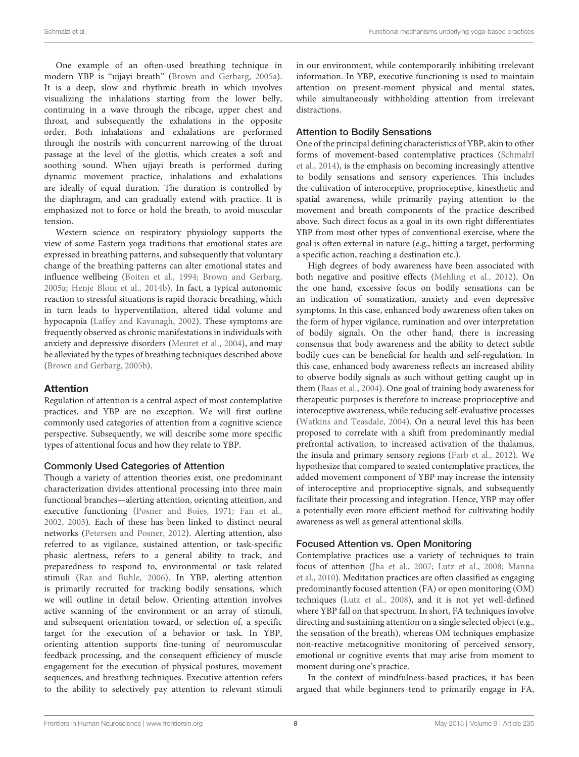One example of an often-used breathing technique in modern YBP is ''ujjayi breath'' [\(Brown and Gerbarg,](#page-14-5) [2005a\)](#page-14-5). It is a deep, slow and rhythmic breath in which involves visualizing the inhalations starting from the lower belly, continuing in a wave through the ribcage, upper chest and throat, and subsequently the exhalations in the opposite order. Both inhalations and exhalations are performed through the nostrils with concurrent narrowing of the throat passage at the level of the glottis, which creates a soft and soothing sound. When ujjayi breath is performed during dynamic movement practice, inhalations and exhalations are ideally of equal duration. The duration is controlled by the diaphragm, and can gradually extend with practice. It is emphasized not to force or hold the breath, to avoid muscular tension.

Western science on respiratory physiology supports the view of some Eastern yoga traditions that emotional states are expressed in breathing patterns, and subsequently that voluntary change of the breathing patterns can alter emotional states and influence wellbeing [\(Boiten et al.,](#page-14-7) [1994;](#page-14-7) [Brown and Gerbarg,](#page-14-5) [2005a;](#page-14-5) [Henje Blom et al.,](#page-16-18) [2014b\)](#page-16-18). In fact, a typical autonomic reaction to stressful situations is rapid thoracic breathing, which in turn leads to hyperventilation, altered tidal volume and hypocapnia [\(Laffey and Kavanagh,](#page-16-19) [2002\)](#page-16-19). These symptoms are frequently observed as chronic manifestations in individuals with anxiety and depressive disorders [\(Meuret et al.,](#page-16-20) [2004\)](#page-16-20), and may be alleviated by the types of breathing techniques described above [\(Brown and Gerbarg,](#page-14-8) [2005b\)](#page-14-8).

#### Attention

Regulation of attention is a central aspect of most contemplative practices, and YBP are no exception. We will first outline commonly used categories of attention from a cognitive science perspective. Subsequently, we will describe some more specific types of attentional focus and how they relate to YBP.

#### Commonly Used Categories of Attention

Though a variety of attention theories exist, one predominant characterization divides attentional processing into three main functional branches—alerting attention, orienting attention, and executive functioning [\(Posner and Boies,](#page-17-22) [1971;](#page-17-22) [Fan et al.,](#page-15-19) [2002,](#page-15-19) [2003\)](#page-15-20). Each of these has been linked to distinct neural networks [\(Petersen and Posner,](#page-17-23) [2012\)](#page-17-23). Alerting attention, also referred to as vigilance, sustained attention, or task-specific phasic alertness, refers to a general ability to track, and preparedness to respond to, environmental or task related stimuli [\(Raz and Buhle,](#page-17-24) [2006\)](#page-17-24). In YBP, alerting attention is primarily recruited for tracking bodily sensations, which we will outline in detail below. Orienting attention involves active scanning of the environment or an array of stimuli, and subsequent orientation toward, or selection of, a specific target for the execution of a behavior or task. In YBP, orienting attention supports fine-tuning of neuromuscular feedback processing, and the consequent efficiency of muscle engagement for the execution of physical postures, movement sequences, and breathing techniques. Executive attention refers to the ability to selectively pay attention to relevant stimuli in our environment, while contemporarily inhibiting irrelevant information. In YBP, executive functioning is used to maintain attention on present-moment physical and mental states, while simultaneously withholding attention from irrelevant distractions.

#### Attention to Bodily Sensations

One of the principal defining characteristics of YBP, akin to other forms of movement-based contemplative practices [\(Schmalzl](#page-17-20) [et al.,](#page-17-20) [2014\)](#page-17-20), is the emphasis on becoming increasingly attentive to bodily sensations and sensory experiences. This includes the cultivation of interoceptive, proprioceptive, kinesthetic and spatial awareness, while primarily paying attention to the movement and breath components of the practice described above. Such direct focus as a goal in its own right differentiates YBP from most other types of conventional exercise, where the goal is often external in nature (e.g., hitting a target, performing a specific action, reaching a destination etc.).

High degrees of body awareness have been associated with both negative and positive effects [\(Mehling et al.,](#page-16-2) [2012\)](#page-16-2). On the one hand, excessive focus on bodily sensations can be an indication of somatization, anxiety and even depressive symptoms. In this case, enhanced body awareness often takes on the form of hyper vigilance, rumination and over interpretation of bodily signals. On the other hand, there is increasing consensus that body awareness and the ability to detect subtle bodily cues can be beneficial for health and self-regulation. In this case, enhanced body awareness reflects an increased ability to observe bodily signals as such without getting caught up in them [\(Baas et al.,](#page-14-9) [2004\)](#page-14-9). One goal of training body awareness for therapeutic purposes is therefore to increase proprioceptive and interoceptive awareness, while reducing self-evaluative processes [\(Watkins and Teasdale,](#page-18-3) [2004\)](#page-18-3). On a neural level this has been proposed to correlate with a shift from predominantly medial prefrontal activation, to increased activation of the thalamus, the insula and primary sensory regions [\(Farb et al.,](#page-15-21) [2012\)](#page-15-21). We hypothesize that compared to seated contemplative practices, the added movement component of YBP may increase the intensity of interoceptive and proprioceptive signals, and subsequently facilitate their processing and integration. Hence, YBP may offer a potentially even more efficient method for cultivating bodily awareness as well as general attentional skills.

#### Focused Attention vs. Open Monitoring

Contemplative practices use a variety of techniques to train focus of attention [\(Jha et al.,](#page-16-21) [2007;](#page-16-21) [Lutz et al.,](#page-16-22) [2008;](#page-16-22) [Manna](#page-16-23) [et al.,](#page-16-23) [2010\)](#page-16-23). Meditation practices are often classified as engaging predominantly focused attention (FA) or open monitoring (OM) techniques [\(Lutz et al.,](#page-16-22) [2008\)](#page-16-22), and it is not yet well-defined where YBP fall on that spectrum. In short, FA techniques involve directing and sustaining attention on a single selected object (e.g., the sensation of the breath), whereas OM techniques emphasize non-reactive metacognitive monitoring of perceived sensory, emotional or cognitive events that may arise from moment to moment during one's practice.

In the context of mindfulness-based practices, it has been argued that while beginners tend to primarily engage in FA,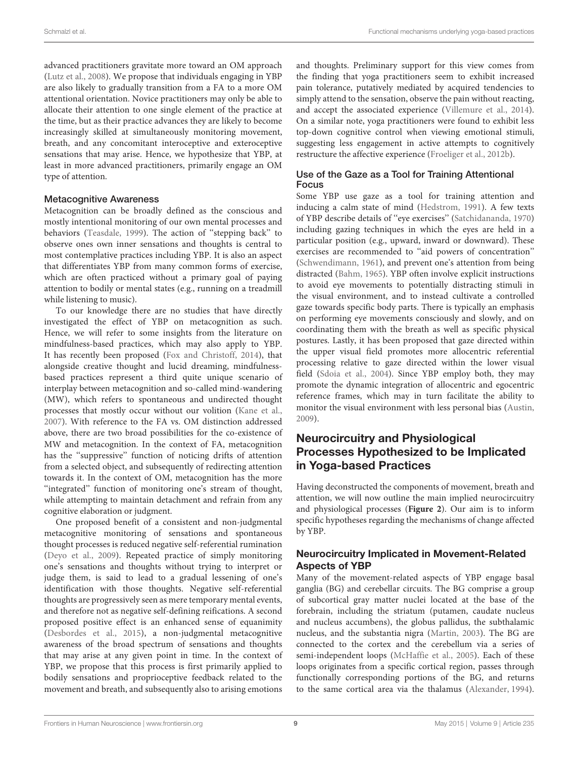advanced practitioners gravitate more toward an OM approach [\(Lutz et al.,](#page-16-22) [2008\)](#page-16-22). We propose that individuals engaging in YBP are also likely to gradually transition from a FA to a more OM attentional orientation. Novice practitioners may only be able to allocate their attention to one single element of the practice at the time, but as their practice advances they are likely to become increasingly skilled at simultaneously monitoring movement, breath, and any concomitant interoceptive and exteroceptive sensations that may arise. Hence, we hypothesize that YBP, at least in more advanced practitioners, primarily engage an OM type of attention.

#### Metacognitive Awareness

Metacognition can be broadly defined as the conscious and mostly intentional monitoring of our own mental processes and behaviors [\(Teasdale,](#page-17-25) [1999\)](#page-17-25). The action of ''stepping back'' to observe ones own inner sensations and thoughts is central to most contemplative practices including YBP. It is also an aspect that differentiates YBP from many common forms of exercise, which are often practiced without a primary goal of paying attention to bodily or mental states (e.g., running on a treadmill while listening to music).

To our knowledge there are no studies that have directly investigated the effect of YBP on metacognition as such. Hence, we will refer to some insights from the literature on mindfulness-based practices, which may also apply to YBP. It has recently been proposed [\(Fox and Christoff,](#page-15-22) [2014\)](#page-15-22), that alongside creative thought and lucid dreaming, mindfulnessbased practices represent a third quite unique scenario of interplay between metacognition and so-called mind-wandering (MW), which refers to spontaneous and undirected thought processes that mostly occur without our volition [\(Kane et al.,](#page-16-24) [2007\)](#page-16-24). With reference to the FA vs. OM distinction addressed above, there are two broad possibilities for the co-existence of MW and metacognition. In the context of FA, metacognition has the ''suppressive'' function of noticing drifts of attention from a selected object, and subsequently of redirecting attention towards it. In the context of OM, metacognition has the more "integrated" function of monitoring one's stream of thought, while attempting to maintain detachment and refrain from any cognitive elaboration or judgment.

One proposed benefit of a consistent and non-judgmental metacognitive monitoring of sensations and spontaneous thought processes is reduced negative self-referential rumination [\(Deyo et al.,](#page-15-23) [2009\)](#page-15-23). Repeated practice of simply monitoring one's sensations and thoughts without trying to interpret or judge them, is said to lead to a gradual lessening of one's identification with those thoughts. Negative self-referential thoughts are progressively seen as mere temporary mental events, and therefore not as negative self-defining reifications. A second proposed positive effect is an enhanced sense of equanimity [\(Desbordes et al.,](#page-15-24) [2015\)](#page-15-24), a non-judgmental metacognitive awareness of the broad spectrum of sensations and thoughts that may arise at any given point in time. In the context of YBP, we propose that this process is first primarily applied to bodily sensations and proprioceptive feedback related to the movement and breath, and subsequently also to arising emotions and thoughts. Preliminary support for this view comes from the finding that yoga practitioners seem to exhibit increased pain tolerance, putatively mediated by acquired tendencies to simply attend to the sensation, observe the pain without reacting, and accept the associated experience [\(Villemure et al.,](#page-17-9) [2014\)](#page-17-9). On a similar note, yoga practitioners were found to exhibit less top-down cognitive control when viewing emotional stimuli, suggesting less engagement in active attempts to cognitively restructure the affective experience [\(Froeliger et al.,](#page-15-10) [2012b\)](#page-15-10).

#### Use of the Gaze as a Tool for Training Attentional Focus

Some YBP use gaze as a tool for training attention and inducing a calm state of mind [\(Hedstrom,](#page-16-25) [1991\)](#page-16-25). A few texts of YBP describe details of ''eye exercises'' [\(Satchidananda,](#page-17-26) [1970\)](#page-17-26) including gazing techniques in which the eyes are held in a particular position (e.g., upward, inward or downward). These exercises are recommended to ''aid powers of concentration'' [\(Schwendimann,](#page-17-27) [1961\)](#page-17-27), and prevent one's attention from being distracted [\(Bahm,](#page-14-10) [1965\)](#page-14-10). YBP often involve explicit instructions to avoid eye movements to potentially distracting stimuli in the visual environment, and to instead cultivate a controlled gaze towards specific body parts. There is typically an emphasis on performing eye movements consciously and slowly, and on coordinating them with the breath as well as specific physical postures. Lastly, it has been proposed that gaze directed within the upper visual field promotes more allocentric referential processing relative to gaze directed within the lower visual field [\(Sdoia et al.,](#page-17-28) [2004\)](#page-17-28). Since YBP employ both, they may promote the dynamic integration of allocentric and egocentric reference frames, which may in turn facilitate the ability to monitor the visual environment with less personal bias [\(Austin,](#page-14-11) [2009\)](#page-14-11).

# Neurocircuitry and Physiological Processes Hypothesized to be Implicated in Yoga-based Practices

Having deconstructed the components of movement, breath and attention, we will now outline the main implied neurocircuitry and physiological processes (**[Figure 2](#page-9-0)**). Our aim is to inform specific hypotheses regarding the mechanisms of change affected by YBP.

## Neurocircuitry Implicated in Movement-Related Aspects of YBP

Many of the movement-related aspects of YBP engage basal ganglia (BG) and cerebellar circuits. The BG comprise a group of subcortical gray matter nuclei located at the base of the forebrain, including the striatum (putamen, caudate nucleus and nucleus accumbens), the globus pallidus, the subthalamic nucleus, and the substantia nigra [\(Martin,](#page-16-26) [2003\)](#page-16-26). The BG are connected to the cortex and the cerebellum via a series of semi-independent loops [\(McHaffie et al.,](#page-16-27) [2005\)](#page-16-27). Each of these loops originates from a specific cortical region, passes through functionally corresponding portions of the BG, and returns to the same cortical area via the thalamus [\(Alexander,](#page-14-12) [1994\)](#page-14-12).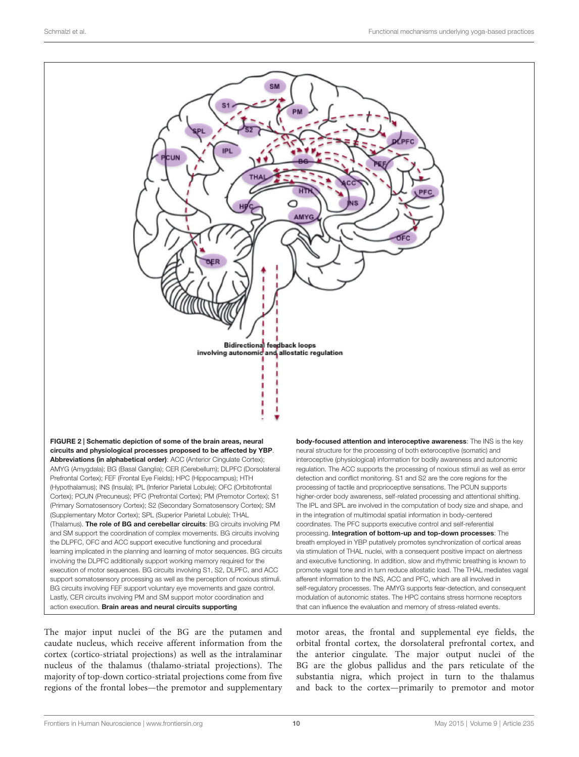

<span id="page-9-0"></span>The major input nuclei of the BG are the putamen and caudate nucleus, which receive afferent information from the cortex (cortico-striatal projections) as well as the intralaminar nucleus of the thalamus (thalamo-striatal projections). The majority of top-down cortico-striatal projections come from five regions of the frontal lobes—the premotor and supplementary motor areas, the frontal and supplemental eye fields, the orbital frontal cortex, the dorsolateral prefrontal cortex, and the anterior cingulate. The major output nuclei of the BG are the globus pallidus and the pars reticulate of the substantia nigra, which project in turn to the thalamus and back to the cortex—primarily to premotor and motor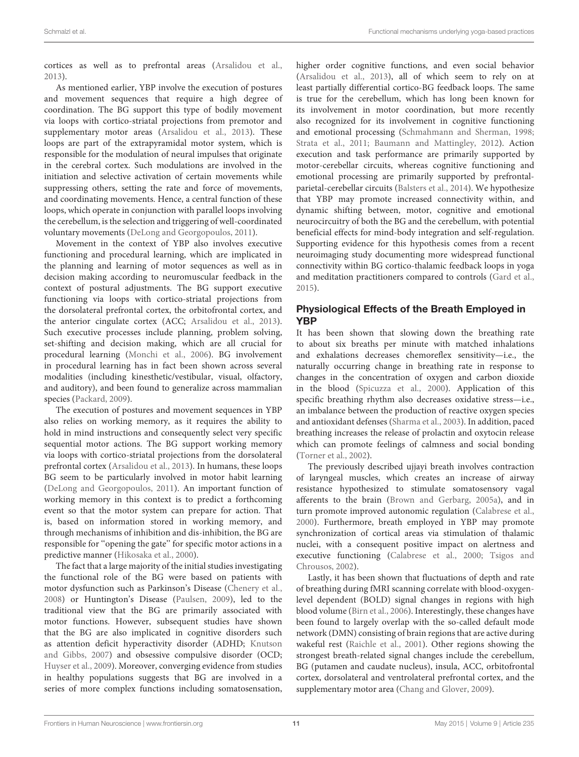cortices as well as to prefrontal areas [\(Arsalidou et al.,](#page-14-13) [2013\)](#page-14-13).

As mentioned earlier, YBP involve the execution of postures and movement sequences that require a high degree of coordination. The BG support this type of bodily movement via loops with cortico-striatal projections from premotor and supplementary motor areas [\(Arsalidou et al.,](#page-14-13) [2013\)](#page-14-13). These loops are part of the extrapyramidal motor system, which is responsible for the modulation of neural impulses that originate in the cerebral cortex. Such modulations are involved in the initiation and selective activation of certain movements while suppressing others, setting the rate and force of movements, and coordinating movements. Hence, a central function of these loops, which operate in conjunction with parallel loops involving the cerebellum, is the selection and triggering of well-coordinated voluntary movements [\(DeLong and Georgopoulos,](#page-15-25) [2011\)](#page-15-25).

Movement in the context of YBP also involves executive functioning and procedural learning, which are implicated in the planning and learning of motor sequences as well as in decision making according to neuromuscular feedback in the context of postural adjustments. The BG support executive functioning via loops with cortico-striatal projections from the dorsolateral prefrontal cortex, the orbitofrontal cortex, and the anterior cingulate cortex (ACC; [Arsalidou et al.,](#page-14-13) [2013\)](#page-14-13). Such executive processes include planning, problem solving, set-shifting and decision making, which are all crucial for procedural learning [\(Monchi et al.,](#page-16-28) [2006\)](#page-16-28). BG involvement in procedural learning has in fact been shown across several modalities (including kinesthetic/vestibular, visual, olfactory, and auditory), and been found to generalize across mammalian species [\(Packard,](#page-16-29) [2009\)](#page-16-29).

The execution of postures and movement sequences in YBP also relies on working memory, as it requires the ability to hold in mind instructions and consequently select very specific sequential motor actions. The BG support working memory via loops with cortico-striatal projections from the dorsolateral prefrontal cortex [\(Arsalidou et al.,](#page-14-13) [2013\)](#page-14-13). In humans, these loops BG seem to be particularly involved in motor habit learning [\(DeLong and Georgopoulos,](#page-15-25) [2011\)](#page-15-25). An important function of working memory in this context is to predict a forthcoming event so that the motor system can prepare for action. That is, based on information stored in working memory, and through mechanisms of inhibition and dis-inhibition, the BG are responsible for ''opening the gate'' for specific motor actions in a predictive manner [\(Hikosaka et al.,](#page-16-30) [2000\)](#page-16-30).

The fact that a large majority of the initial studies investigating the functional role of the BG were based on patients with motor dysfunction such as Parkinson's Disease [\(Chenery et al.,](#page-15-26) [2008\)](#page-15-26) or Huntington's Disease [\(Paulsen,](#page-17-29) [2009\)](#page-17-29), led to the traditional view that the BG are primarily associated with motor functions. However, subsequent studies have shown that the BG are also implicated in cognitive disorders such as attention deficit hyperactivity disorder (ADHD; [Knutson](#page-16-31) [and Gibbs,](#page-16-31) [2007\)](#page-16-31) and obsessive compulsive disorder (OCD; [Huyser et al.,](#page-16-32) [2009\)](#page-16-32). Moreover, converging evidence from studies in healthy populations suggests that BG are involved in a series of more complex functions including somatosensation,

higher order cognitive functions, and even social behavior [\(Arsalidou et al.,](#page-14-13) [2013\)](#page-14-13), all of which seem to rely on at least partially differential cortico-BG feedback loops. The same is true for the cerebellum, which has long been known for its involvement in motor coordination, but more recently also recognized for its involvement in cognitive functioning and emotional processing [\(Schmahmann and Sherman,](#page-17-30) [1998;](#page-17-30) [Strata et al.,](#page-17-31) [2011;](#page-17-31) [Baumann and Mattingley,](#page-14-14) [2012\)](#page-14-14). Action execution and task performance are primarily supported by motor-cerebellar circuits, whereas cognitive functioning and emotional processing are primarily supported by prefrontalparietal-cerebellar circuits [\(Balsters et al.,](#page-14-15) [2014\)](#page-14-15). We hypothesize that YBP may promote increased connectivity within, and dynamic shifting between, motor, cognitive and emotional neurocircuitry of both the BG and the cerebellum, with potential beneficial effects for mind-body integration and self-regulation. Supporting evidence for this hypothesis comes from a recent neuroimaging study documenting more widespread functional connectivity within BG cortico-thalamic feedback loops in yoga and meditation practitioners compared to controls [\(Gard et al.,](#page-15-27) [2015\)](#page-15-27).

## Physiological Effects of the Breath Employed in YBP

It has been shown that slowing down the breathing rate to about six breaths per minute with matched inhalations and exhalations decreases chemoreflex sensitivity—i.e., the naturally occurring change in breathing rate in response to changes in the concentration of oxygen and carbon dioxide in the blood [\(Spicuzza et al.,](#page-17-32) [2000\)](#page-17-32). Application of this specific breathing rhythm also decreases oxidative stress—i.e., an imbalance between the production of reactive oxygen species and antioxidant defenses [\(Sharma et al.,](#page-17-33) [2003\)](#page-17-33). In addition, paced breathing increases the release of prolactin and oxytocin release which can promote feelings of calmness and social bonding [\(Torner et al.,](#page-17-34) [2002\)](#page-17-34).

The previously described ujjayi breath involves contraction of laryngeal muscles, which creates an increase of airway resistance hypothesized to stimulate somatosensory vagal afferents to the brain [\(Brown and Gerbarg,](#page-14-5) [2005a\)](#page-14-5), and in turn promote improved autonomic regulation [\(Calabrese et al.,](#page-14-16) [2000\)](#page-14-16). Furthermore, breath employed in YBP may promote synchronization of cortical areas via stimulation of thalamic nuclei, with a consequent positive impact on alertness and executive functioning [\(Calabrese et al.,](#page-14-16) [2000;](#page-14-16) [Tsigos and](#page-17-35) [Chrousos,](#page-17-35) [2002\)](#page-17-35).

Lastly, it has been shown that fluctuations of depth and rate of breathing during fMRI scanning correlate with blood-oxygenlevel dependent (BOLD) signal changes in regions with high blood volume [\(Birn et al.,](#page-14-17) [2006\)](#page-14-17). Interestingly, these changes have been found to largely overlap with the so-called default mode network (DMN) consisting of brain regions that are active during wakeful rest [\(Raichle et al.,](#page-17-36) [2001\)](#page-17-36). Other regions showing the strongest breath-related signal changes include the cerebellum, BG (putamen and caudate nucleus), insula, ACC, orbitofrontal cortex, dorsolateral and ventrolateral prefrontal cortex, and the supplementary motor area [\(Chang and Glover,](#page-15-28) [2009\)](#page-15-28).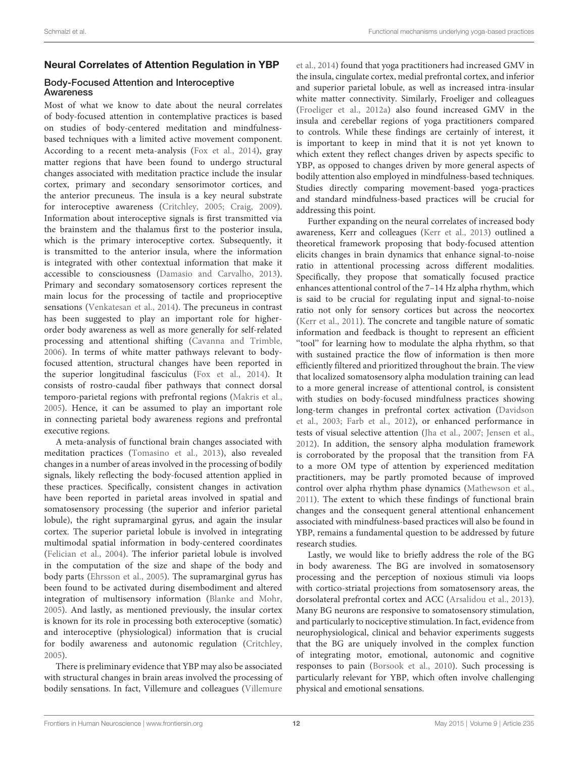## Neural Correlates of Attention Regulation in YBP

## Body-Focused Attention and Interoceptive Awareness

Most of what we know to date about the neural correlates of body-focused attention in contemplative practices is based on studies of body-centered meditation and mindfulnessbased techniques with a limited active movement component. According to a recent meta-analysis [\(Fox et al.,](#page-15-29) [2014\)](#page-15-29), gray matter regions that have been found to undergo structural changes associated with meditation practice include the insular cortex, primary and secondary sensorimotor cortices, and the anterior precuneus. The insula is a key neural substrate for interoceptive awareness [\(Critchley,](#page-15-30) [2005;](#page-15-30) [Craig,](#page-15-31) [2009\)](#page-15-31). Information about interoceptive signals is first transmitted via the brainstem and the thalamus first to the posterior insula, which is the primary interoceptive cortex. Subsequently, it is transmitted to the anterior insula, where the information is integrated with other contextual information that make it accessible to consciousness [\(Damasio and Carvalho,](#page-15-32) [2013\)](#page-15-32). Primary and secondary somatosensory cortices represent the main locus for the processing of tactile and proprioceptive sensations [\(Venkatesan et al.,](#page-17-37) [2014\)](#page-17-37). The precuneus in contrast has been suggested to play an important role for higherorder body awareness as well as more generally for self-related processing and attentional shifting [\(Cavanna and Trimble,](#page-15-33) [2006\)](#page-15-33). In terms of white matter pathways relevant to bodyfocused attention, structural changes have been reported in the superior longitudinal fasciculus [\(Fox et al.,](#page-15-29) [2014\)](#page-15-29). It consists of rostro-caudal fiber pathways that connect dorsal temporo-parietal regions with prefrontal regions [\(Makris et al.,](#page-16-33) [2005\)](#page-16-33). Hence, it can be assumed to play an important role in connecting parietal body awareness regions and prefrontal executive regions.

A meta-analysis of functional brain changes associated with meditation practices [\(Tomasino et al.,](#page-17-38) [2013\)](#page-17-38), also revealed changes in a number of areas involved in the processing of bodily signals, likely reflecting the body-focused attention applied in these practices. Specifically, consistent changes in activation have been reported in parietal areas involved in spatial and somatosensory processing (the superior and inferior parietal lobule), the right supramarginal gyrus, and again the insular cortex. The superior parietal lobule is involved in integrating multimodal spatial information in body-centered coordinates [\(Felician et al.,](#page-15-34) [2004\)](#page-15-34). The inferior parietal lobule is involved in the computation of the size and shape of the body and body parts [\(Ehrsson et al.,](#page-15-35) [2005\)](#page-15-35). The supramarginal gyrus has been found to be activated during disembodiment and altered integration of multisensory information [\(Blanke and Mohr,](#page-14-18) [2005\)](#page-14-18). And lastly, as mentioned previously, the insular cortex is known for its role in processing both exteroceptive (somatic) and interoceptive (physiological) information that is crucial for bodily awareness and autonomic regulation [\(Critchley,](#page-15-30) [2005\)](#page-15-30).

There is preliminary evidence that YBP may also be associated with structural changes in brain areas involved the processing of bodily sensations. In fact, Villemure and colleagues [\(Villemure](#page-17-9)

[et al.,](#page-17-9) [2014\)](#page-17-9) found that yoga practitioners had increased GMV in the insula, cingulate cortex, medial prefrontal cortex, and inferior and superior parietal lobule, as well as increased intra-insular white matter connectivity. Similarly, Froeliger and colleagues [\(Froeliger et al.,](#page-15-8) [2012a\)](#page-15-8) also found increased GMV in the insula and cerebellar regions of yoga practitioners compared to controls. While these findings are certainly of interest, it is important to keep in mind that it is not yet known to which extent they reflect changes driven by aspects specific to YBP, as opposed to changes driven by more general aspects of bodily attention also employed in mindfulness-based techniques. Studies directly comparing movement-based yoga-practices and standard mindfulness-based practices will be crucial for addressing this point.

Further expanding on the neural correlates of increased body awareness, Kerr and colleagues [\(Kerr et al.,](#page-16-34) [2013\)](#page-16-34) outlined a theoretical framework proposing that body-focused attention elicits changes in brain dynamics that enhance signal-to-noise ratio in attentional processing across different modalities. Specifically, they propose that somatically focused practice enhances attentional control of the 7–14 Hz alpha rhythm, which is said to be crucial for regulating input and signal-to-noise ratio not only for sensory cortices but across the neocortex [\(Kerr et al.,](#page-16-35) [2011\)](#page-16-35). The concrete and tangible nature of somatic information and feedback is thought to represent an efficient "tool" for learning how to modulate the alpha rhythm, so that with sustained practice the flow of information is then more efficiently filtered and prioritized throughout the brain. The view that localized somatosensory alpha modulation training can lead to a more general increase of attentional control, is consistent with studies on body-focused mindfulness practices showing long-term changes in prefrontal cortex activation [\(Davidson](#page-15-36) [et al.,](#page-15-36) [2003;](#page-15-36) [Farb et al.,](#page-15-21) [2012\)](#page-15-21), or enhanced performance in tests of visual selective attention [\(Jha et al.,](#page-16-21) [2007;](#page-16-21) [Jensen et al.,](#page-16-8) [2012\)](#page-16-8). In addition, the sensory alpha modulation framework is corroborated by the proposal that the transition from FA to a more OM type of attention by experienced meditation practitioners, may be partly promoted because of improved control over alpha rhythm phase dynamics [\(Mathewson et al.,](#page-16-36) [2011\)](#page-16-36). The extent to which these findings of functional brain changes and the consequent general attentional enhancement associated with mindfulness-based practices will also be found in YBP, remains a fundamental question to be addressed by future research studies.

Lastly, we would like to briefly address the role of the BG in body awareness. The BG are involved in somatosensory processing and the perception of noxious stimuli via loops with cortico-striatal projections from somatosensory areas, the dorsolateral prefrontal cortex and ACC [\(Arsalidou et al.,](#page-14-13) [2013\)](#page-14-13). Many BG neurons are responsive to somatosensory stimulation, and particularly to nociceptive stimulation. In fact, evidence from neurophysiological, clinical and behavior experiments suggests that the BG are uniquely involved in the complex function of integrating motor, emotional, autonomic and cognitive responses to pain [\(Borsook et al.,](#page-14-19) [2010\)](#page-14-19). Such processing is particularly relevant for YBP, which often involve challenging physical and emotional sensations.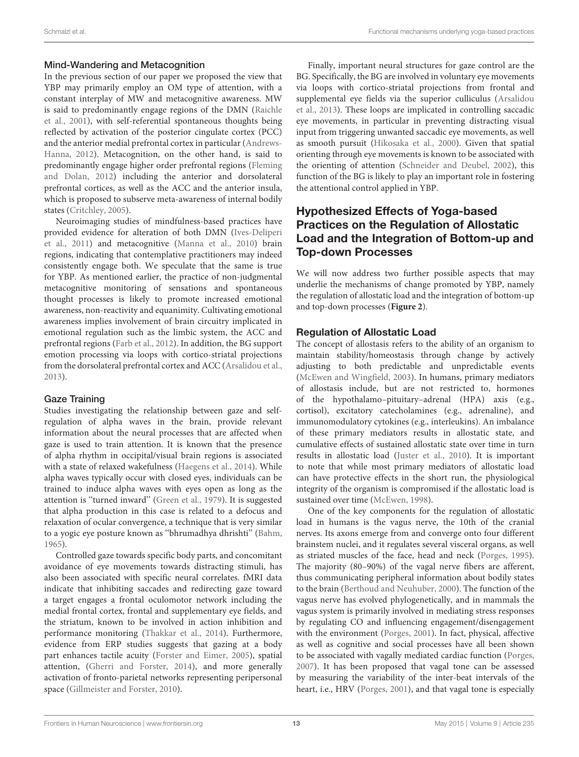#### Mind-Wandering and Metacognition

In the previous section of our paper we proposed the view that YBP may primarily employ an OM type of attention, with a constant interplay of MW and metacognitive awareness. MW is said to predominantly engage regions of the DMN [\(Raichle](#page-17-36) [et al.,](#page-17-36) [2001\)](#page-17-36), with self-referential spontaneous thoughts being reflected by activation of the posterior cingulate cortex (PCC) and the anterior medial prefrontal cortex in particular [\(Andrews-](#page-14-20)[Hanna,](#page-14-20) [2012\)](#page-14-20). Metacognition, on the other hand, is said to predominantly engage higher order prefrontal regions [\(Fleming](#page-15-37) [and Dolan,](#page-15-37) [2012\)](#page-15-37) including the anterior and dorsolateral prefrontal cortices, as well as the ACC and the anterior insula, which is proposed to subserve meta-awareness of internal bodily states [\(Critchley,](#page-15-30) [2005\)](#page-15-30).

Neuroimaging studies of mindfulness-based practices have provided evidence for alteration of both DMN [\(Ives-Deliperi](#page-16-37) [et al.,](#page-16-37) [2011\)](#page-16-37) and metacognitive [\(Manna et al.,](#page-16-23) [2010\)](#page-16-23) brain regions, indicating that contemplative practitioners may indeed consistently engage both. We speculate that the same is true for YBP. As mentioned earlier, the practice of non-judgmental metacognitive monitoring of sensations and spontaneous thought processes is likely to promote increased emotional awareness, non-reactivity and equanimity. Cultivating emotional awareness implies involvement of brain circuitry implicated in emotional regulation such as the limbic system, the ACC and prefrontal regions [\(Farb et al.,](#page-15-21) [2012\)](#page-15-21). In addition, the BG support emotion processing via loops with cortico-striatal projections from the dorsolateral prefrontal cortex and ACC [\(Arsalidou et al.,](#page-14-13) [2013\)](#page-14-13).

#### Gaze Training

Studies investigating the relationship between gaze and selfregulation of alpha waves in the brain, provide relevant information about the neural processes that are affected when gaze is used to train attention. It is known that the presence of alpha rhythm in occipital/visual brain regions is associated with a state of relaxed wakefulness [\(Haegens et al.,](#page-16-38) [2014\)](#page-16-38). While alpha waves typically occur with closed eyes, individuals can be trained to induce alpha waves with eyes open as long as the attention is "turned inward" [\(Green et al.,](#page-15-38) [1979\)](#page-15-38). It is suggested that alpha production in this case is related to a defocus and relaxation of ocular convergence, a technique that is very similar to a yogic eye posture known as ''bhrumadhya dhrishti'' [\(Bahm,](#page-14-10) [1965\)](#page-14-10).

Controlled gaze towards specific body parts, and concomitant avoidance of eye movements towards distracting stimuli, has also been associated with specific neural correlates. fMRI data indicate that inhibiting saccades and redirecting gaze toward a target engages a frontal oculomotor network including the medial frontal cortex, frontal and supplementary eye fields, and the striatum, known to be involved in action inhibition and performance monitoring [\(Thakkar et al.,](#page-17-39) [2014\)](#page-17-39). Furthermore, evidence from ERP studies suggests that gazing at a body part enhances tactile acuity [\(Forster and Eimer,](#page-15-39) [2005\)](#page-15-39), spatial attention, [\(Gherri and Forster,](#page-15-40) [2014\)](#page-15-40), and more generally activation of fronto-parietal networks representing peripersonal space [\(Gillmeister and Forster,](#page-15-41) [2010\)](#page-15-41).

Finally, important neural structures for gaze control are the BG. Specifically, the BG are involved in voluntary eye movements via loops with cortico-striatal projections from frontal and supplemental eye fields via the superior culliculus [\(Arsalidou](#page-14-13) [et al.,](#page-14-13) [2013\)](#page-14-13). These loops are implicated in controlling saccadic eye movements, in particular in preventing distracting visual input from triggering unwanted saccadic eye movements, as well as smooth pursuit [\(Hikosaka et al.,](#page-16-30) [2000\)](#page-16-30). Given that spatial orienting through eye movements is known to be associated with the orienting of attention [\(Schneider and Deubel,](#page-17-40) [2002\)](#page-17-40), this function of the BG is likely to play an important role in fostering the attentional control applied in YBP.

# Hypothesized Effects of Yoga-based Practices on the Regulation of Allostatic Load and the Integration of Bottom-up and Top-down Processes

We will now address two further possible aspects that may underlie the mechanisms of change promoted by YBP, namely the regulation of allostatic load and the integration of bottom-up and top-down processes (**[Figure 2](#page-9-0)**).

#### Regulation of Allostatic Load

The concept of allostasis refers to the ability of an organism to maintain stability/homeostasis through change by actively adjusting to both predictable and unpredictable events [\(McEwen and Wingfield,](#page-16-39) [2003\)](#page-16-39). In humans, primary mediators of allostasis include, but are not restricted to, hormones of the hypothalamo–pituitary–adrenal (HPA) axis (e.g., cortisol), excitatory catecholamines (e.g., adrenaline), and immunomodulatory cytokines (e.g., interleukins). An imbalance of these primary mediators results in allostatic state, and cumulative effects of sustained allostatic state over time in turn results in allostatic load [\(Juster et al.,](#page-16-40) [2010\)](#page-16-40). It is important to note that while most primary mediators of allostatic load can have protective effects in the short run, the physiological integrity of the organism is compromised if the allostatic load is sustained over time [\(McEwen,](#page-16-41) [1998\)](#page-16-41).

One of the key components for the regulation of allostatic load in humans is the vagus nerve, the 10th of the cranial nerves. Its axons emerge from and converge onto four different brainstem nuclei, and it regulates several visceral organs, as well as striated muscles of the face, head and neck [\(Porges,](#page-17-41) [1995\)](#page-17-41). The majority (80–90%) of the vagal nerve fibers are afferent, thus communicating peripheral information about bodily states to the brain [\(Berthoud and Neuhuber,](#page-14-21) [2000\)](#page-14-21). The function of the vagus nerve has evolved phylogenetically, and in mammals the vagus system is primarily involved in mediating stress responses by regulating CO and influencing engagement/disengagement with the environment [\(Porges,](#page-17-42) [2001\)](#page-17-42). In fact, physical, affective as well as cognitive and social processes have all been shown to be associated with vagally mediated cardiac function [\(Porges,](#page-17-43) [2007\)](#page-17-43). It has been proposed that vagal tone can be assessed by measuring the variability of the inter-beat intervals of the heart, i.e., HRV [\(Porges,](#page-17-42) [2001\)](#page-17-42), and that vagal tone is especially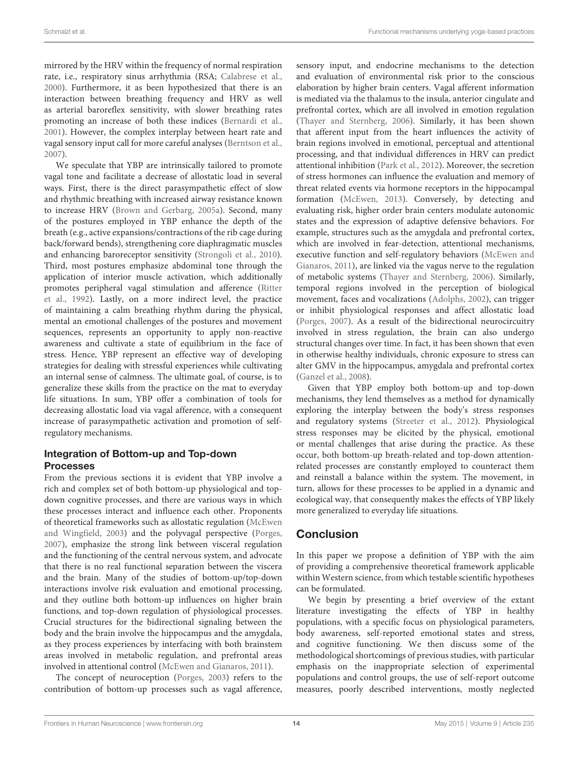mirrored by the HRV within the frequency of normal respiration rate, i.e., respiratory sinus arrhythmia (RSA; [Calabrese et al.,](#page-14-16) [2000\)](#page-14-16). Furthermore, it as been hypothesized that there is an interaction between breathing frequency and HRV as well as arterial baroreflex sensitivity, with slower breathing rates promoting an increase of both these indices [\(Bernardi et al.,](#page-14-22) [2001\)](#page-14-22). However, the complex interplay between heart rate and vagal sensory input call for more careful analyses [\(Berntson et al.,](#page-14-23) [2007\)](#page-14-23).

We speculate that YBP are intrinsically tailored to promote vagal tone and facilitate a decrease of allostatic load in several ways. First, there is the direct parasympathetic effect of slow and rhythmic breathing with increased airway resistance known to increase HRV [\(Brown and Gerbarg,](#page-14-5) [2005a\)](#page-14-5). Second, many of the postures employed in YBP enhance the depth of the breath (e.g., active expansions/contractions of the rib cage during back/forward bends), strengthening core diaphragmatic muscles and enhancing baroreceptor sensitivity [\(Strongoli et al.,](#page-17-44) [2010\)](#page-17-44). Third, most postures emphasize abdominal tone through the application of interior muscle activation, which additionally promotes peripheral vagal stimulation and afference [\(Ritter](#page-17-45) [et al.,](#page-17-45) [1992\)](#page-17-45). Lastly, on a more indirect level, the practice of maintaining a calm breathing rhythm during the physical, mental an emotional challenges of the postures and movement sequences, represents an opportunity to apply non-reactive awareness and cultivate a state of equilibrium in the face of stress. Hence, YBP represent an effective way of developing strategies for dealing with stressful experiences while cultivating an internal sense of calmness. The ultimate goal, of course, is to generalize these skills from the practice on the mat to everyday life situations. In sum, YBP offer a combination of tools for decreasing allostatic load via vagal afference, with a consequent increase of parasympathetic activation and promotion of selfregulatory mechanisms.

## Integration of Bottom-up and Top-down Processes

From the previous sections it is evident that YBP involve a rich and complex set of both bottom-up physiological and topdown cognitive processes, and there are various ways in which these processes interact and influence each other. Proponents of theoretical frameworks such as allostatic regulation [\(McEwen](#page-16-39) [and Wingfield,](#page-16-39) [2003\)](#page-16-39) and the polyvagal perspective [\(Porges,](#page-17-43) [2007\)](#page-17-43), emphasize the strong link between visceral regulation and the functioning of the central nervous system, and advocate that there is no real functional separation between the viscera and the brain. Many of the studies of bottom-up/top-down interactions involve risk evaluation and emotional processing, and they outline both bottom-up influences on higher brain functions, and top-down regulation of physiological processes. Crucial structures for the bidirectional signaling between the body and the brain involve the hippocampus and the amygdala, as they process experiences by interfacing with both brainstem areas involved in metabolic regulation, and prefrontal areas involved in attentional control [\(McEwen and Gianaros,](#page-16-42) [2011\)](#page-16-42).

The concept of neuroception [\(Porges,](#page-17-46) [2003\)](#page-17-46) refers to the contribution of bottom-up processes such as vagal afference,

sensory input, and endocrine mechanisms to the detection and evaluation of environmental risk prior to the conscious elaboration by higher brain centers. Vagal afferent information is mediated via the thalamus to the insula, anterior cingulate and prefrontal cortex, which are all involved in emotion regulation [\(Thayer and Sternberg,](#page-17-47) [2006\)](#page-17-47). Similarly, it has been shown that afferent input from the heart influences the activity of brain regions involved in emotional, perceptual and attentional processing, and that individual differences in HRV can predict attentional inhibition [\(Park et al.,](#page-17-48) [2012\)](#page-17-48). Moreover, the secretion of stress hormones can influence the evaluation and memory of threat related events via hormone receptors in the hippocampal formation [\(McEwen,](#page-16-43) [2013\)](#page-16-43). Conversely, by detecting and evaluating risk, higher order brain centers modulate autonomic states and the expression of adaptive defensive behaviors. For example, structures such as the amygdala and prefrontal cortex, which are involved in fear-detection, attentional mechanisms, executive function and self-regulatory behaviors [\(McEwen and](#page-16-42) [Gianaros,](#page-16-42) [2011\)](#page-16-42), are linked via the vagus nerve to the regulation of metabolic systems [\(Thayer and Sternberg,](#page-17-47) [2006\)](#page-17-47). Similarly, temporal regions involved in the perception of biological movement, faces and vocalizations [\(Adolphs,](#page-14-24) [2002\)](#page-14-24), can trigger or inhibit physiological responses and affect allostatic load [\(Porges,](#page-17-43) [2007\)](#page-17-43). As a result of the bidirectional neurocircuitry involved in stress regulation, the brain can also undergo structural changes over time. In fact, it has been shown that even in otherwise healthy individuals, chronic exposure to stress can alter GMV in the hippocampus, amygdala and prefrontal cortex [\(Ganzel et al.,](#page-15-42) [2008\)](#page-15-42).

Given that YBP employ both bottom-up and top-down mechanisms, they lend themselves as a method for dynamically exploring the interplay between the body's stress responses and regulatory systems [\(Streeter et al.,](#page-17-49) [2012\)](#page-17-49). Physiological stress responses may be elicited by the physical, emotional or mental challenges that arise during the practice. As these occur, both bottom-up breath-related and top-down attentionrelated processes are constantly employed to counteract them and reinstall a balance within the system. The movement, in turn, allows for these processes to be applied in a dynamic and ecological way, that consequently makes the effects of YBP likely more generalized to everyday life situations.

# **Conclusion**

In this paper we propose a definition of YBP with the aim of providing a comprehensive theoretical framework applicable within Western science, from which testable scientific hypotheses can be formulated.

We begin by presenting a brief overview of the extant literature investigating the effects of YBP in healthy populations, with a specific focus on physiological parameters, body awareness, self-reported emotional states and stress, and cognitive functioning. We then discuss some of the methodological shortcomings of previous studies, with particular emphasis on the inappropriate selection of experimental populations and control groups, the use of self-report outcome measures, poorly described interventions, mostly neglected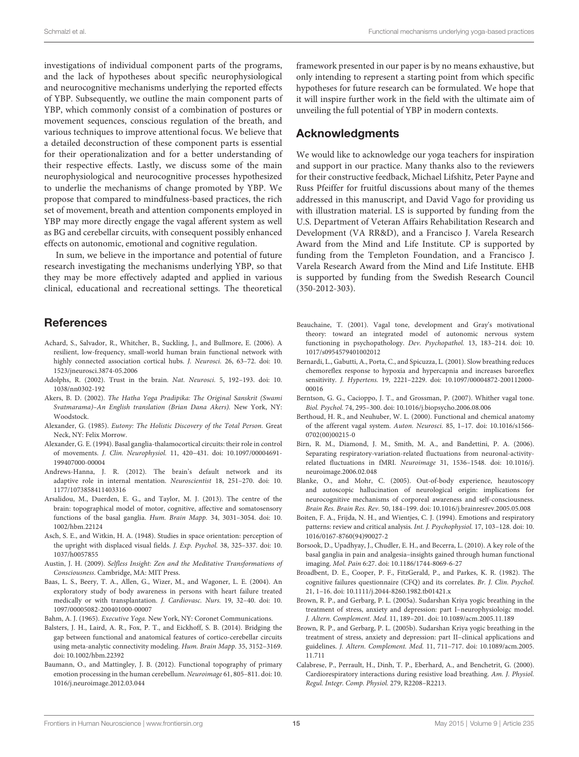investigations of individual component parts of the programs, and the lack of hypotheses about specific neurophysiological and neurocognitive mechanisms underlying the reported effects of YBP. Subsequently, we outline the main component parts of YBP, which commonly consist of a combination of postures or movement sequences, conscious regulation of the breath, and various techniques to improve attentional focus. We believe that a detailed deconstruction of these component parts is essential for their operationalization and for a better understanding of their respective effects. Lastly, we discuss some of the main neurophysiological and neurocognitive processes hypothesized to underlie the mechanisms of change promoted by YBP. We propose that compared to mindfulness-based practices, the rich set of movement, breath and attention components employed in YBP may more directly engage the vagal afferent system as well as BG and cerebellar circuits, with consequent possibly enhanced effects on autonomic, emotional and cognitive regulation.

In sum, we believe in the importance and potential of future research investigating the mechanisms underlying YBP, so that they may be more effectively adapted and applied in various clinical, educational and recreational settings. The theoretical

# References

- <span id="page-14-2"></span>Achard, S., Salvador, R., Whitcher, B., Suckling, J., and Bullmore, E. (2006). A resilient, low-frequency, small-world human brain functional network with highly connected association cortical hubs. J. Neurosci. 26, 63–72. doi: 10. 1523/jneurosci.3874-05.2006
- <span id="page-14-24"></span>Adolphs, R. (2002). Trust in the brain. Nat. Neurosci. 5, 192–193. doi: 10. 1038/nn0302-192
- <span id="page-14-3"></span>Akers, B. D. (2002). The Hatha Yoga Pradipika: The Original Sanskrit (Swami Svatmarama)–An English translation (Brian Dana Akers). New York, NY: Woodstock.
- <span id="page-14-4"></span>Alexander, G. (1985). Eutony: The Holistic Discovery of the Total Person. Great Neck, NY: Felix Morrow.
- <span id="page-14-12"></span>Alexander, G. E. (1994). Basal ganglia-thalamocortical circuits: their role in control of movements. J. Clin. Neurophysiol. 11, 420–431. doi: 10.1097/00004691- 199407000-00004
- <span id="page-14-20"></span>Andrews-Hanna, J. R. (2012). The brain's default network and its adaptive role in internal mentation. Neuroscientist 18, 251–270. doi: 10. 1177/1073858411403316
- <span id="page-14-13"></span>Arsalidou, M., Duerden, E. G., and Taylor, M. J. (2013). The centre of the brain: topographical model of motor, cognitive, affective and somatosensory functions of the basal ganglia. Hum. Brain Mapp. 34, 3031–3054. doi: 10. 1002/hbm.22124
- <span id="page-14-0"></span>Asch, S. E., and Witkin, H. A. (1948). Studies in space orientation: perception of the upright with displaced visual fields. J. Exp. Psychol. 38, 325–337. doi: 10. 1037/h0057855
- <span id="page-14-11"></span>Austin, J. H. (2009). Selfless Insight: Zen and the Meditative Transformations of Consciousness. Cambridge, MA: MIT Press.
- <span id="page-14-9"></span>Baas, L. S., Beery, T. A., Allen, G., Wizer, M., and Wagoner, L. E. (2004). An exploratory study of body awareness in persons with heart failure treated medically or with transplantation. J. Cardiovasc. Nurs. 19, 32–40. doi: 10. 1097/00005082-200401000-00007
- <span id="page-14-10"></span>Bahm, A. J. (1965). Executive Yoga. New York, NY: Coronet Communications.
- <span id="page-14-15"></span>Balsters, J. H., Laird, A. R., Fox, P. T., and Eickhoff, S. B. (2014). Bridging the gap between functional and anatomical features of cortico-cerebellar circuits using meta-analytic connectivity modeling. Hum. Brain Mapp. 35, 3152–3169. doi: 10.1002/hbm.22392
- <span id="page-14-14"></span>Baumann, O., and Mattingley, J. B. (2012). Functional topography of primary emotion processing in the human cerebellum. Neuroimage 61, 805–811. doi: 10. 1016/j.neuroimage.2012.03.044

framework presented in our paper is by no means exhaustive, but only intending to represent a starting point from which specific hypotheses for future research can be formulated. We hope that it will inspire further work in the field with the ultimate aim of unveiling the full potential of YBP in modern contexts.

## Acknowledgments

We would like to acknowledge our yoga teachers for inspiration and support in our practice. Many thanks also to the reviewers for their constructive feedback, Michael Lifshitz, Peter Payne and Russ Pfeiffer for fruitful discussions about many of the themes addressed in this manuscript, and David Vago for providing us with illustration material. LS is supported by funding from the U.S. Department of Veteran Affairs Rehabilitation Research and Development (VA RR&D), and a Francisco J. Varela Research Award from the Mind and Life Institute. CP is supported by funding from the Templeton Foundation, and a Francisco J. Varela Research Award from the Mind and Life Institute. EHB is supported by funding from the Swedish Research Council (350-2012-303).

- <span id="page-14-6"></span>Beauchaine, T. (2001). Vagal tone, development and Gray's motivational theory: toward an integrated model of autonomic nervous system functioning in psychopathology. Dev. Psychopathol. 13, 183–214. doi: 10. 1017/s0954579401002012
- <span id="page-14-22"></span>Bernardi, L., Gabutti, A., Porta, C., and Spicuzza, L. (2001). Slow breathing reduces chemoreflex response to hypoxia and hypercapnia and increases baroreflex sensitivity. J. Hypertens. 19, 2221–2229. doi: 10.1097/00004872-200112000- 00016
- <span id="page-14-23"></span>Berntson, G. G., Cacioppo, J. T., and Grossman, P. (2007). Whither vagal tone. Biol. Psychol. 74, 295–300. doi: 10.1016/j.biopsycho.2006.08.006
- <span id="page-14-21"></span>Berthoud, H. R., and Neuhuber, W. L. (2000). Functional and chemical anatomy of the afferent vagal system. Auton. Neurosci. 85, 1–17. doi: 10.1016/s1566- 0702(00)00215-0
- <span id="page-14-17"></span>Birn, R. M., Diamond, J. M., Smith, M. A., and Bandettini, P. A. (2006). Separating respiratory-variation-related fluctuations from neuronal-activityrelated fluctuations in fMRI. Neuroimage 31, 1536–1548. doi: 10.1016/j. neuroimage.2006.02.048
- <span id="page-14-18"></span>Blanke, O., and Mohr, C. (2005). Out-of-body experience, heautoscopy and autoscopic hallucination of neurological origin: implications for neurocognitive mechanisms of corporeal awareness and self-consciousness. Brain Res. Brain Res. Rev. 50, 184–199. doi: 10.1016/j.brainresrev.2005.05.008
- <span id="page-14-7"></span>Boiten, F. A., Frijda, N. H., and Wientjes, C. J. (1994). Emotions and respiratory patterns: review and critical analysis. Int. J. Psychophysiol. 17, 103–128. doi: 10. 1016/0167-8760(94)90027-2
- <span id="page-14-19"></span>Borsook, D., Upadhyay, J., Chudler, E. H., and Becerra, L. (2010). A key role of the basal ganglia in pain and analgesia–insights gained through human functional imaging. Mol. Pain 6:27. doi: 10.1186/1744-8069-6-27
- <span id="page-14-1"></span>Broadbent, D. E., Cooper, P. F., FitzGerald, P., and Parkes, K. R. (1982). The cognitive failures questionnaire (CFQ) and its correlates. Br. J. Clin. Psychol. 21, 1–16. doi: 10.1111/j.2044-8260.1982.tb01421.x
- <span id="page-14-5"></span>Brown, R. P., and Gerbarg, P. L. (2005a). Sudarshan Kriya yogic breathing in the treatment of stress, anxiety and depression: part I–neurophysioloigc model. J. Altern. Complement. Med. 11, 189–201. doi: 10.1089/acm.2005.11.189
- <span id="page-14-8"></span>Brown, R. P., and Gerbarg, P. L. (2005b). Sudarshan Kriya yogic breathing in the treatment of stress, anxiety and depression: part II–clinical applications and guidelines. J. Altern. Complement. Med. 11, 711–717. doi: 10.1089/acm.2005. 11.711
- <span id="page-14-16"></span>Calabrese, P., Perrault, H., Dinh, T. P., Eberhard, A., and Benchetrit, G. (2000). Cardiorespiratory interactions during resistive load breathing. Am. J. Physiol. Regul. Integr. Comp. Physiol. 279, R2208–R2213.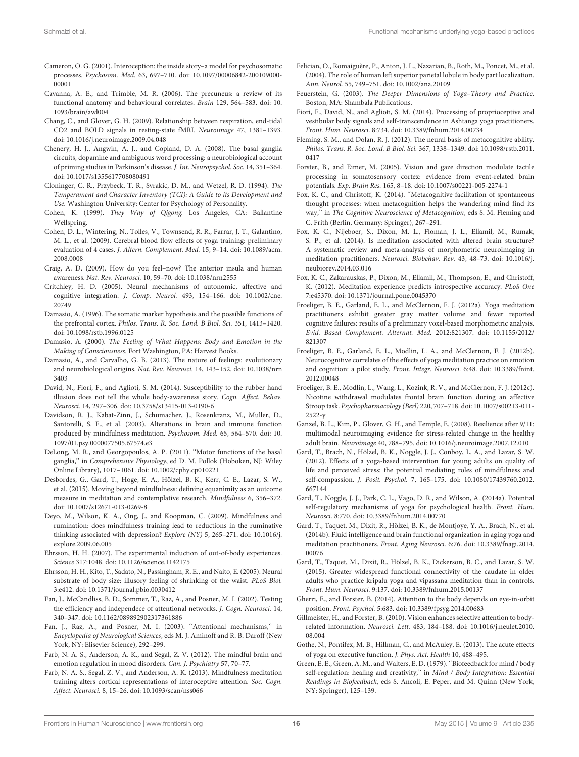- <span id="page-15-13"></span>Cameron, O. G. (2001). Interoception: the inside story–a model for psychosomatic processes. Psychosom. Med. 63, 697–710. doi: 10.1097/00006842-200109000- 00001
- <span id="page-15-33"></span>Cavanna, A. E., and Trimble, M. R. (2006). The precuneus: a review of its functional anatomy and behavioural correlates. Brain 129, 564–583. doi: 10. 1093/brain/awl004
- <span id="page-15-28"></span>Chang, C., and Glover, G. H. (2009). Relationship between respiration, end-tidal CO2 and BOLD signals in resting-state fMRI. Neuroimage 47, 1381–1393. doi: 10.1016/j.neuroimage.2009.04.048
- <span id="page-15-26"></span>Chenery, H. J., Angwin, A. J., and Copland, D. A. (2008). The basal ganglia circuits, dopamine and ambiguous word processing: a neurobiological account of priming studies in Parkinson's disease. J. Int. Neuropsychol. Soc. 14, 351–364. doi: 10.1017/s1355617708080491
- <span id="page-15-4"></span>Cloninger, C. R., Przybeck, T. R., Svrakic, D. M., and Wetzel, R. D. (1994). The Temperament and Character Inventory (TCI): A Guide to its Development and Use. Washington University: Center for Psychology of Personality.
- <span id="page-15-12"></span>Cohen, K. (1999). They Way of Qigong. Los Angeles, CA: Ballantine Wellspring.
- <span id="page-15-6"></span>Cohen, D. L., Wintering, N., Tolles, V., Townsend, R. R., Farrar, J. T., Galantino, M. L., et al. (2009). Cerebral blood flow effects of yoga training: preliminary evaluation of 4 cases. J. Altern. Complement. Med. 15, 9–14. doi: 10.1089/acm. 2008.0008
- <span id="page-15-31"></span>Craig, A. D. (2009). How do you feel–now? The anterior insula and human awareness. Nat. Rev. Neurosci. 10, 59–70. doi: 10.1038/nrn2555
- <span id="page-15-30"></span>Critchley, H. D. (2005). Neural mechanisms of autonomic, affective and cognitive integration. J. Comp. Neurol. 493, 154–166. doi: 10.1002/cne. 20749
- <span id="page-15-14"></span>Damasio, A. (1996). The somatic marker hypothesis and the possible functions of the prefrontal cortex. Philos. Trans. R. Soc. Lond. B Biol. Sci. 351, 1413–1420. doi: 10.1098/rstb.1996.0125
- <span id="page-15-15"></span>Damasio, A. (2000). The Feeling of What Happens: Body and Emotion in the Making of Consciousness. Fort Washington, PA: Harvest Books.
- <span id="page-15-32"></span>Damasio, A., and Carvalho, G. B. (2013). The nature of feelings: evolutionary and neurobiological origins. Nat. Rev. Neurosci. 14, 143–152. doi: 10.1038/nrn 3403
- <span id="page-15-2"></span>David, N., Fiori, F., and Aglioti, S. M. (2014). Susceptibility to the rubber hand illusion does not tell the whole body-awareness story. Cogn. Affect. Behav. Neurosci. 14, 297–306. doi: 10.3758/s13415-013-0190-6
- <span id="page-15-36"></span>Davidson, R. J., Kabat-Zinn, J., Schumacher, J., Rosenkranz, M., Muller, D., Santorelli, S. F., et al. (2003). Alterations in brain and immune function produced by mindfulness meditation. Psychosom. Med. 65, 564–570. doi: 10. 1097/01.psy.0000077505.67574.e3
- <span id="page-15-25"></span>DeLong, M. R., and Georgopoulos, A. P. (2011). ''Motor functions of the basal ganglia," in Comprehensive Physiology, ed D. M. Pollok (Hoboken, NJ: Wiley Online Library), 1017–1061. doi: 10.1002/cphy.cp010221
- <span id="page-15-24"></span>Desbordes, G., Gard, T., Hoge, E. A., Hölzel, B. K., Kerr, C. E., Lazar, S. W., et al. (2015). Moving beyond mindfulness: defining equanimity as an outcome measure in meditation and contemplative research. Mindfulness 6, 356–372. doi: 10.1007/s12671-013-0269-8
- <span id="page-15-23"></span>Deyo, M., Wilson, K. A., Ong, J., and Koopman, C. (2009). Mindfulness and rumination: does mindfulness training lead to reductions in the ruminative thinking associated with depression? Explore (NY) 5, 265–271. doi: 10.1016/j. explore.2009.06.005
- <span id="page-15-16"></span>Ehrsson, H. H. (2007). The experimental induction of out-of-body experiences. Science 317:1048. doi: 10.1126/science.1142175
- <span id="page-15-35"></span>Ehrsson, H. H., Kito, T., Sadato, N., Passingham, R. E., and Naito, E. (2005). Neural substrate of body size: illusory feeling of shrinking of the waist. PLoS Biol. 3:e412. doi: 10.1371/journal.pbio.0030412
- <span id="page-15-19"></span>Fan, J., McCandliss, B. D., Sommer, T., Raz, A., and Posner, M. I. (2002). Testing the efficiency and independece of attentional networks. J. Cogn. Neurosci. 14, 340–347. doi: 10.1162/089892902317361886
- <span id="page-15-20"></span>Fan, J., Raz, A., and Posner, M. I. (2003). "Attentional mechanisms," in Encyclopedia of Neurological Sciences, eds M. J. Aminoff and R. B. Daroff (New York, NY: Elisevier Science), 292–299.
- <span id="page-15-21"></span>Farb, N. A. S., Anderson, A. K., and Segal, Z. V. (2012). The mindful brain and emotion regulation in mood disorders. Can. J. Psychiatry 57, 70–77.
- <span id="page-15-18"></span>Farb, N. A. S., Segal, Z. V., and Anderson, A. K. (2013). Mindfulness meditation training alters cortical representations of interoceptive attention. Soc. Cogn. Affect. Neurosci. 8, 15–26. doi: 10.1093/scan/nss066
- <span id="page-15-34"></span>Felician, O., Romaiguère, P., Anton, J. L., Nazarian, B., Roth, M., Poncet, M., et al. (2004). The role of human left superior parietal lobule in body part localization. Ann. Neurol. 55, 749–751. doi: 10.1002/ana.20109
- <span id="page-15-1"></span>Feuerstein, G. (2003). The Deeper Dimensions of Yoga–Theory and Practice. Boston, MA: Shambala Publications.
- <span id="page-15-3"></span>Fiori, F., David, N., and Aglioti, S. M. (2014). Processing of proprioceptive and vestibular body signals and self-transcendence in Ashtanga yoga practitioners. Front. Hum. Neurosci. 8:734. doi: 10.3389/fnhum.2014.00734
- <span id="page-15-37"></span>Fleming, S. M., and Dolan, R. J. (2012). The neural basis of metacognitive ability. Philos. Trans. R. Soc. Lond. B Biol. Sci. 367, 1338–1349. doi: 10.1098/rstb.2011. 0417
- <span id="page-15-39"></span>Forster, B., and Eimer, M. (2005). Vision and gaze direction modulate tactile processing in somatosensory cortex: evidence from event-related brain potentials. Exp. Brain Res. 165, 8–18. doi: 10.1007/s00221-005-2274-1
- <span id="page-15-22"></span>Fox, K. C., and Christoff, K. (2014). ''Metacognitive facilitation of spontaneous thought processes: when metacognition helps the wandering mind find its way,'' in The Cognitive Neuroscience of Metacognition, eds S. M. Fleming and C. Frith (Berlin, Germany: Springer), 267–291.
- <span id="page-15-29"></span>Fox, K. C., Nijeboer, S., Dixon, M. L., Floman, J. L., Ellamil, M., Rumak, S. P., et al. (2014). Is meditation associated with altered brain structure? A systematic review and meta-analysis of morphometric neuroimaging in meditation practitioners. Neurosci. Biobehav. Rev. 43, 48–73. doi: 10.1016/j. neubiorev.2014.03.016
- <span id="page-15-17"></span>Fox, K. C., Zakarauskas, P., Dixon, M., Ellamil, M., Thompson, E., and Christoff, K. (2012). Meditation experience predicts introspective accuracy. PLoS One 7:e45370. doi: 10.1371/journal.pone.0045370
- <span id="page-15-8"></span>Froeliger, B. E., Garland, E. L., and McClernon, F. J. (2012a). Yoga meditation practitioners exhibit greater gray matter volume and fewer reported cognitive failures: results of a preliminary voxel-based morphometric analysis. Evid. Based Complement. Alternat. Med. 2012:821307. doi: 10.1155/2012/ 821307
- <span id="page-15-10"></span>Froeliger, B. E., Garland, E. L., Modlin, L. A., and McClernon, F. J. (2012b). Neurocognitive correlates of the effects of yoga meditation practice on emotion and cognition: a pilot study. Front. Integr. Neurosci. 6:48. doi: 10.3389/fnint. 2012.00048
- <span id="page-15-11"></span>Froeliger, B. E., Modlin, L., Wang, L., Kozink, R. V., and McClernon, F. J. (2012c). Nicotine withdrawal modulates frontal brain function during an affective Stroop task. Psychopharmacology (Berl) 220, 707–718. doi: 10.1007/s00213-011- 2522-y
- <span id="page-15-42"></span>Ganzel, B. L., Kim, P., Glover, G. H., and Temple, E. (2008). Resilience after 9/11: multimodal neuroimaging evidence for stress-related change in the healthy adult brain. Neuroimage 40, 788–795. doi: 10.1016/j.neuroimage.2007.12.010
- <span id="page-15-5"></span>Gard, T., Brach, N., Hölzel, B. K., Noggle, J. J., Conboy, L. A., and Lazar, S. W. (2012). Effects of a yoga-based intervention for young adults on quality of life and perceived stress: the potential mediating roles of mindfulness and self-compassion. J. Posit. Psychol. 7, 165–175. doi: 10.1080/17439760.2012. 667144
- <span id="page-15-0"></span>Gard, T., Noggle, J. J., Park, C. L., Vago, D. R., and Wilson, A. (2014a). Potential self-regulatory mechanisms of yoga for psychological health. Front. Hum. Neurosci. 8:770. doi: 10.3389/fnhum.2014.00770
- <span id="page-15-9"></span>Gard, T., Taquet, M., Dixit, R., Hölzel, B. K., de Montjoye, Y. A., Brach, N., et al. (2014b). Fluid intelligence and brain functional organization in aging yoga and meditation practitioners. Front. Aging Neurosci. 6:76. doi: 10.3389/fnagi.2014. 00076
- <span id="page-15-27"></span>Gard, T., Taquet, M., Dixit, R., Hölzel, B. K., Dickerson, B. C., and Lazar, S. W. (2015). Greater widespread functional connectivity of the caudate in older adults who practice kripalu yoga and vipassana meditation than in controls. Front. Hum. Neurosci. 9:137. doi: 10.3389/fnhum.2015.00137
- <span id="page-15-40"></span>Gherri, E., and Forster, B. (2014). Attention to the body depends on eye-in-orbit position. Front. Psychol. 5:683. doi: 10.3389/fpsyg.2014.00683
- <span id="page-15-41"></span>Gillmeister, H., and Forster, B. (2010). Vision enhances selective attention to bodyrelated information. Neurosci. Lett. 483, 184–188. doi: 10.1016/j.neulet.2010. 08.004
- <span id="page-15-7"></span>Gothe, N., Pontifex, M. B., Hillman, C., and McAuley, E. (2013). The acute effects of yoga on executive function. J. Phys. Act. Health 10, 488–495.
- <span id="page-15-38"></span>Green, E. E., Green, A. M., and Walters, E. D. (1979). ''Biofeedback for mind / body self-regulation: healing and creativity," in Mind / Body Integration: Essential Readings in Biofeedback, eds S. Ancoli, E. Peper, and M. Quinn (New York, NY: Springer), 125–139.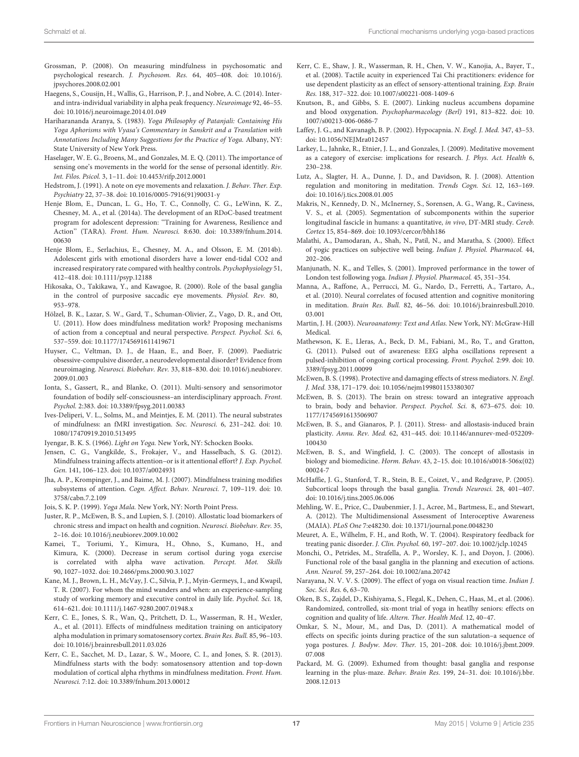- <span id="page-16-9"></span>Grossman, P. (2008). On measuring mindfulness in psychosomatic and psychological research. J. Psychosom. Res. 64, 405–408. doi: 10.1016/j. jpsychores.2008.02.001
- <span id="page-16-38"></span>Haegens, S., Cousijn, H., Wallis, G., Harrison, P. J., and Nobre, A. C. (2014). Interand intra-individual variability in alpha peak frequency. Neuroimage 92, 46–55. doi: 10.1016/j.neuroimage.2014.01.049
- <span id="page-16-0"></span>Hariharananda Aranya, S. (1983). Yoga Philosophy of Patanjali: Containing His Yoga Aphorisms with Vyasa's Commentary in Sanskrit and a Translation with Annotations Including Many Suggestions for the Practice of Yoga. Albany, NY: State University of New York Press.
- <span id="page-16-15"></span>Haselager, W. E. G., Broens, M., and Gonzales, M. E. Q. (2011). The importance of sensing one's movements in the world for the sense of personal identitly. Riv. Int. Filos. Psicol. 3, 1–11. doi: 10.4453/rifp.2012.0001
- <span id="page-16-25"></span>Hedstrom, J. (1991). A note on eye movements and relaxation. J. Behav. Ther. Exp. Psychiatry 22, 37–38. doi: 10.1016/0005-7916(91)90031-y
- <span id="page-16-10"></span>Henje Blom, E., Duncan, L. G., Ho, T. C., Connolly, C. G., LeWinn, K. Z., Chesney, M. A., et al. (2014a). The development of an RDoC-based treatment program for adolescent depression: ''Training for Awareness, Resilience and Action'' (TARA). Front. Hum. Neurosci. 8:630. doi: 10.3389/fnhum.2014. 00630
- <span id="page-16-18"></span>Henje Blom, E., Serlachius, E., Chesney, M. A., and Olsson, E. M. (2014b). Adolescent girls with emotional disorders have a lower end-tidal CO2 and increased respiratory rate compared with healthy controls. Psychophysiology 51, 412–418. doi: 10.1111/psyp.12188
- <span id="page-16-30"></span>Hikosaka, O., Takikawa, Y., and Kawagoe, R. (2000). Role of the basal ganglia in the control of purposive saccadic eye movements. Physiol. Rev. 80, 953–978.
- <span id="page-16-7"></span>Hölzel, B. K., Lazar, S. W., Gard, T., Schuman-Olivier, Z., Vago, D. R., and Ott, U. (2011). How does mindfulness meditation work? Proposing mechanisms of action from a conceptual and neural perspective. Perspect. Psychol. Sci. 6, 537–559. doi: 10.1177/1745691611419671
- <span id="page-16-32"></span>Huyser, C., Veltman, D. J., de Haan, E., and Boer, F. (2009). Paediatric obsessive-compulsive disorder, a neurodevelopmental disorder? Evidence from neuroimaging. Neurosci. Biobehav. Rev. 33, 818–830. doi: 10.1016/j.neubiorev. 2009.01.003
- <span id="page-16-16"></span>Ionta, S., Gassert, R., and Blanke, O. (2011). Multi-sensory and sensorimotor foundation of bodily self-consciousness–an interdisciplinary approach. Front. Psychol. 2:383. doi: 10.3389/fpsyg.2011.00383
- <span id="page-16-37"></span>Ives-Deliperi, V. L., Solms, M., and Meintjes, E. M. (2011). The neural substrates of mindfulness: an fMRI investigation. Soc. Neurosci. 6, 231–242. doi: 10. 1080/17470919.2010.513495

<span id="page-16-12"></span>Iyengar, B. K. S. (1966). Light on Yoga. New York, NY: Schocken Books.

- <span id="page-16-8"></span>Jensen, C. G., Vangkilde, S., Frokajer, V., and Hasselbach, S. G. (2012). Mindfulness training affects attention–or is it attentional effort? J. Exp. Psychol. Gen. 141, 106–123. doi: 10.1037/a0024931
- <span id="page-16-21"></span>Jha, A. P., Krompinger, J., and Baime, M. J. (2007). Mindfulness training modifies subsystems of attention. Cogn. Affect. Behav. Neurosci. 7, 109–119. doi: 10. 3758/cabn.7.2.109
- <span id="page-16-11"></span>Jois, S. K. P. (1999). Yoga Mala. New York, NY: North Point Press.
- <span id="page-16-40"></span>Juster, R. P., McEwen, B. S., and Lupien, S. J. (2010). Allostatic load biomarkers of chronic stress and impact on health and cognition. Neurosci. Biobehav. Rev. 35, 2–16. doi: 10.1016/j.neubiorev.2009.10.002
- <span id="page-16-1"></span>Kamei, T., Toriumi, Y., Kimura, H., Ohno, S., Kumano, H., and Kimura, K. (2000). Decrease in serum cortisol during yoga exercise is correlated with alpha wave activation. Percept. Mot. Skills 90, 1027–1032. doi: 10.2466/pms.2000.90.3.1027
- <span id="page-16-24"></span>Kane, M. J., Brown, L. H., McVay, J. C., Silvia, P. J., Myin-Germeys, I., and Kwapil, T. R. (2007). For whom the mind wanders and when: an experience-sampling study of working memory and executive control in daily life. Psychol. Sci. 18, 614–621. doi: 10.1111/j.1467-9280.2007.01948.x
- <span id="page-16-35"></span>Kerr, C. E., Jones, S. R., Wan, Q., Pritchett, D. L., Wasserman, R. H., Wexler, A., et al. (2011). Effects of mindfulness meditation training on anticipatory alpha modulation in primary somatosensory cortex. Brain Res. Bull. 85, 96–103. doi: 10.1016/j.brainresbull.2011.03.026
- <span id="page-16-34"></span>Kerr, C. E., Sacchet, M. D., Lazar, S. W., Moore, C. I., and Jones, S. R. (2013). Mindfulness starts with the body: somatosensory attention and top-down modulation of cortical alpha rhythms in mindfulness meditation. Front. Hum. Neurosci. 7:12. doi: 10.3389/fnhum.2013.00012
- <span id="page-16-17"></span>Kerr, C. E., Shaw, J. R., Wasserman, R. H., Chen, V. W., Kanojia, A., Bayer, T., et al. (2008). Tactile acuity in experienced Tai Chi practitioners: evidence for use dependent plasticity as an effect of sensory-attentional training. Exp. Brain Res. 188, 317–322. doi: 10.1007/s00221-008-1409-6
- <span id="page-16-31"></span>Knutson, B., and Gibbs, S. E. (2007). Linking nucleus accumbens dopamine and blood oxygenation. Psychopharmacology (Berl) 191, 813–822. doi: 10. 1007/s00213-006-0686-7
- <span id="page-16-19"></span>Laffey, J. G., and Kavanagh, B. P. (2002). Hypocapnia. N. Engl. J. Med. 347, 43–53. doi: 10.1056/NEJMra012457
- <span id="page-16-14"></span>Larkey, L., Jahnke, R., Etnier, J. L., and Gonzales, J. (2009). Meditative movement as a category of exercise: implications for research. J. Phys. Act. Health 6, 230–238.
- <span id="page-16-22"></span>Lutz, A., Slagter, H. A., Dunne, J. D., and Davidson, R. J. (2008). Attention regulation and monitoring in meditation. Trends Cogn. Sci. 12, 163–169. doi: 10.1016/j.tics.2008.01.005
- <span id="page-16-33"></span>Makris, N., Kennedy, D. N., McInerney, S., Sorensen, A. G., Wang, R., Caviness, V. S., et al. (2005). Segmentation of subcomponents within the superior longitudinal fascicle in humans: a quantitative, in vivo, DT-MRI study. Cereb. Cortex 15, 854–869. doi: 10.1093/cercor/bhh186
- <span id="page-16-3"></span>Malathi, A., Damodaran, A., Shah, N., Patil, N., and Maratha, S. (2000). Effect of yogic practices on subjective well being. Indian J. Physiol. Pharmacol. 44, 202–206.
- <span id="page-16-5"></span>Manjunath, N. K., and Telles, S. (2001). Improved performance in the tower of London test following yoga. Indian J. Physiol. Pharmacol. 45, 351–354.
- <span id="page-16-23"></span>Manna, A., Raffone, A., Perrucci, M. G., Nardo, D., Ferretti, A., Tartaro, A., et al. (2010). Neural correlates of focused attention and cognitive monitoring in meditation. Brain Res. Bull. 82, 46–56. doi: 10.1016/j.brainresbull.2010. 03.001
- <span id="page-16-26"></span>Martin, J. H. (2003). Neuroanatomy: Text and Atlas. New York, NY: McGraw-Hill Medical.
- <span id="page-16-36"></span>Mathewson, K. E., Lleras, A., Beck, D. M., Fabiani, M., Ro, T., and Gratton, G. (2011). Pulsed out of awareness: EEG alpha oscillations represent a pulsed-inhibition of ongoing cortical processing. Front. Psychol. 2:99. doi: 10. 3389/fpsyg.2011.00099
- <span id="page-16-41"></span>McEwen, B. S. (1998). Protective and damaging effects of stress mediators. N. Engl. J. Med. 338, 171–179. doi: 10.1056/nejm199801153380307
- <span id="page-16-43"></span>McEwen, B. S. (2013). The brain on stress: toward an integrative approach to brain, body and behavior. Perspect. Psychol. Sci. 8, 673–675. doi: 10. 1177/1745691613506907
- <span id="page-16-42"></span>McEwen, B. S., and Gianaros, P. J. (2011). Stress- and allostasis-induced brain plasticity. Annu. Rev. Med. 62, 431–445. doi: 10.1146/annurev-med-052209- 100430
- <span id="page-16-39"></span>McEwen, B. S., and Wingfield, J. C. (2003). The concept of allostasis in biology and biomedicine. Horm. Behav. 43, 2–15. doi: 10.1016/s0018-506x(02) 00024-7
- <span id="page-16-27"></span>McHaffie, J. G., Stanford, T. R., Stein, B. E., Coizet, V., and Redgrave, P. (2005). Subcortical loops through the basal ganglia. Trends Neurosci. 28, 401–407. doi: 10.1016/j.tins.2005.06.006
- <span id="page-16-2"></span>Mehling, W. E., Price, C., Daubenmier, J. J., Acree, M., Bartmess, E., and Stewart, A. (2012). The Multidimensional Assessment of Interoceptive Awareness (MAIA). PLoS One 7:e48230. doi: 10.1371/journal.pone.0048230
- <span id="page-16-20"></span>Meuret, A. E., Wilhelm, F. H., and Roth, W. T. (2004). Respiratory feedback for treating panic disorder. J. Clin. Psychol. 60, 197–207. doi: 10.1002/jclp.10245
- <span id="page-16-28"></span>Monchi, O., Petrides, M., Strafella, A. P., Worsley, K. J., and Doyon, J. (2006). Functional role of the basal ganglia in the planning and execution of actions. Ann. Neurol. 59, 257–264. doi: 10.1002/ana.20742
- <span id="page-16-4"></span>Narayana, N. V. V. S. (2009). The effect of yoga on visual reaction time. Indian J. Soc. Sci. Res. 6, 63–70.
- <span id="page-16-6"></span>Oken, B. S., Zajdel, D., Kishiyama, S., Flegal, K., Dehen, C., Haas, M., et al. (2006). Randomized, controlled, six-mont trial of yoga in heatlhy seniors: effects on cognition and quality of life. Altern. Ther. Health Med. 12, 40–47.
- <span id="page-16-13"></span>Omkar, S. N., Mour, M., and Das, D. (2011). A mathematical model of effects on specific joints during practice of the sun salutation–a sequence of yoga postures. J. Bodyw. Mov. Ther. 15, 201–208. doi: 10.1016/j.jbmt.2009. 07.008
- <span id="page-16-29"></span>Packard, M. G. (2009). Exhumed from thought: basal ganglia and response learning in the plus-maze. Behav. Brain Res. 199, 24–31. doi: 10.1016/j.bbr. 2008.12.013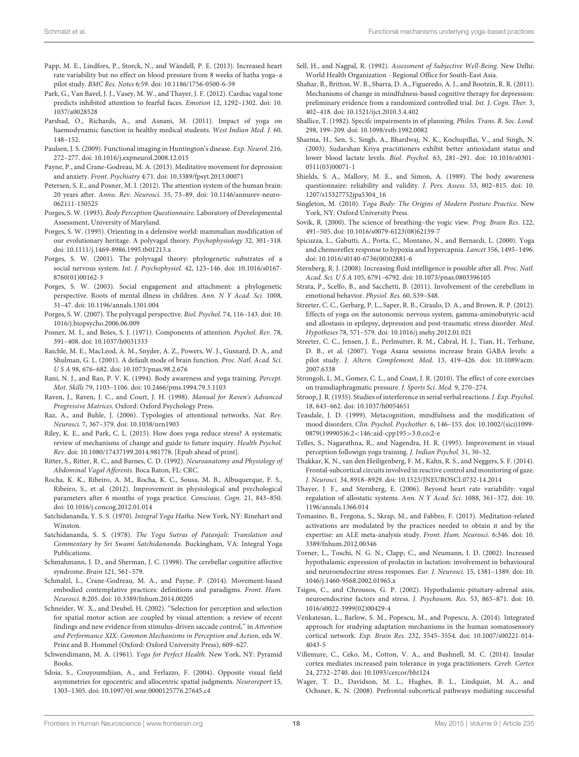- <span id="page-17-5"></span>Papp, M. E., Lindfors, P., Storck, N., and Wändell, P. E. (2013). Increased heart rate variability but no effect on blood pressure from 8 weeks of hatha yoga–a pilot study. BMC Res. Notes 6:59. doi: 10.1186/1756-0500-6-59
- <span id="page-17-48"></span>Park, G., Van Bavel, J. J., Vasey, M. W., and Thayer, J. F. (2012). Cardiac vagal tone predicts inhibited attention to fearful faces. Emotion 12, 1292–1302. doi: 10. 1037/a0028528
- <span id="page-17-4"></span>Parshad, O., Richards, A., and Asnani, M. (2011). Impact of yoga on haemodynamic function in healthy medical students. West Indian Med. J. 60, 148–152.
- <span id="page-17-29"></span>Paulsen, J. S. (2009). Functional imaging in Huntington's disease. Exp. Neurol. 216, 272–277. doi: 10.1016/j.expneurol.2008.12.015
- <span id="page-17-19"></span>Payne, P., and Crane-Godreau, M. A. (2013). Meditative movement for depression and anxiety. Front. Psychiatry 4:71. doi: 10.3389/fpsyt.2013.00071
- <span id="page-17-23"></span>Petersen, S. E., and Posner, M. I. (2012). The attention system of the human brain: 20 years after. Annu. Rev. Neurosci. 35, 73–89. doi: 10.1146/annurev-neuro-062111-150525
- <span id="page-17-8"></span>Porges, S. W. (1993). Body Perception Questionnaire. Laboratory of Developmental Assessment, University of Maryland.
- <span id="page-17-41"></span>Porges, S. W. (1995). Orienting in a defensive world: mammalian modification of our evolutionary heritage. A polyvagal theory. Psychophysiology 32, 301–318. doi: 10.1111/j.1469-8986.1995.tb01213.x
- <span id="page-17-42"></span>Porges, S. W. (2001). The polyvagal theory: phylogenetic substrates of a social nervous system. Int. J. Psychophysiol. 42, 123–146. doi: 10.1016/s0167- 8760(01)00162-3
- <span id="page-17-46"></span>Porges, S. W. (2003). Social engagement and attachment: a phylogenetic perspective. Roots of mental illness in children. Ann. N Y Acad. Sci. 1008, 31–47. doi: 10.1196/annals.1301.004
- <span id="page-17-43"></span>Porges, S. W. (2007). The polyvagal perspective. Biol. Psychol. 74, 116–143. doi: 10. 1016/j.biopsycho.2006.06.009
- <span id="page-17-22"></span>Posner, M. I., and Boies, S. J. (1971). Components of attention. Psychol. Rev. 78, 391–408. doi: 10.1037/h0031333
- <span id="page-17-36"></span>Raichle, M. E., MacLeod, A. M., Snyder, A. Z., Powers, W. J., Gusnard, D. A., and Shulman, G. L. (2001). A default mode of brain function. Proc. Natl. Acad. Sci. U S A 98, 676–682. doi: 10.1073/pnas.98.2.676
- <span id="page-17-6"></span>Rani, N. J., and Rao, P. V. K. (1994). Body awareness and yoga training. Percept. Mot. Skills 79, 1103–1106. doi: 10.2466/pms.1994.79.3.1103
- <span id="page-17-17"></span>Raven, J., Raven, J. C., and Court, J. H. (1998). Manual for Raven's Advanced Progressive Matrices. Oxford: Oxford Psychology Press.
- <span id="page-17-24"></span>Raz, A., and Buhle, J. (2006). Typologies of attentional networks. Nat. Rev. Neurosci. 7, 367–379. doi: 10.1038/nrn1903
- <span id="page-17-10"></span>Riley, K. E., and Park, C. L. (2015). How does yoga reduce stress? A systematic review of mechanisms of change and guide to future inquiry. Health Psychol. Rev. doi: 10.1080/17437199.2014.981778. [Epub ahead of print].
- <span id="page-17-45"></span>Ritter, S., Ritter, R. C., and Barnes, C. D. (1992). Neuroanatomy and Physiology of Abdominal Vagal Afferents. Boca Raton, FL: CRC.
- <span id="page-17-2"></span>Rocha, K. K., Ribeiro, A. M., Rocha, K. C., Sousa, M. B., Albuquerque, F. S., Ribeiro, S., et al. (2012). Improvement in physiological and psychological parameters after 6 months of yoga practice. Conscious. Cogn. 21, 843–850. doi: 10.1016/j.concog.2012.01.014
- <span id="page-17-26"></span>Satchidananda, Y. S. S. (1970). Integral Yoga Hatha. New York, NY: Rinehart and Winston.
- <span id="page-17-1"></span>Satchidananda, S. S. (1978). The Yoga Sutras of Patanjali: Translation and Commentary by Sri Swami Satchidananda. Buckingham, VA: Integral Yoga Publications.
- <span id="page-17-30"></span>Schmahmann, J. D., and Sherman, J. C. (1998). The cerebellar cognitive affective syndrome. Brain 121, 561–579.
- <span id="page-17-20"></span>Schmalzl, L., Crane-Godreau, M. A., and Payne, P. (2014). Movement-based embodied contemplative practices: definitions and paradigms. Front. Hum. Neurosci. 8:205. doi: 10.3389/fnhum.2014.00205
- <span id="page-17-40"></span>Schneider, W. X., and Deubel, H. (2002). ''Selection for perception and selection for spatial motor action are coupled by visual attention: a review of recent findings and new evidence from stimulus-driven saccade control,'' in Attention and Performance XIX: Common Mechanisms in Perception and Action, eds W. Prinz and B. Hommel (Oxford: Oxford University Press), 609–627.
- <span id="page-17-27"></span>Schwendimann, M. A. (1961). Yoga for Perfect Health. New York, NY: Pyramid Books.
- <span id="page-17-28"></span>Sdoia, S., Couyoumdjian, A., and Ferlazzo, F. (2004). Opposite visual field asymmetries for egocentric and allocentric spatial judgments. Neuroreport 15, 1303–1305. doi: 10.1097/01.wnr.0000125776.27645.c4
- <span id="page-17-11"></span>Sell, H., and Nagpal, R. (1992). Assessment of Subjective Well-Being. New Delhi: World Health Organization - Regional Office for South-East Asia.
- <span id="page-17-12"></span>Shahar, B., Britton, W. B., Sbarra, D. A., Figueredo, A. J., and Bootzin, R. R. (2011). Mechanisms of change in mindfulness-based cognitive therapy for depression: preliminary evidence from a randomized controlled trial. Int. J. Cogn. Ther. 3, 402–418. doi: 10.1521/ijct.2010.3.4.402
- <span id="page-17-14"></span>Shallice, T. (1982). Specifc impairments in of planning. Philos. Trans. R. Soc. Lond. 298, 199–209. doi: 10.1098/rstb.1982.0082
- <span id="page-17-33"></span>Sharma, H., Sen, S., Singh, A., Bhardwaj, N. K., Kochupillai, V., and Singh, N. (2003). Sudarshan Kriya practitioners exhibit better antioxidant status and lower blood lactate levels. Biol. Psychol. 63, 281–291. doi: 10.1016/s0301- 0511(03)00071-1
- <span id="page-17-7"></span>Shields, S. A., Mallory, M. E., and Simon, A. (1989). The body awareness questionnaire: reliability and validity. J. Pers. Assess. 53, 802–815. doi: 10. 1207/s15327752jpa5304\_16
- <span id="page-17-0"></span>Singleton, M. (2010). Yoga Body: The Origins of Modern Posture Practice. New York, NY: Oxford University Press.
- <span id="page-17-21"></span>Sovik, R. (2000). The science of breathing–the yogic view. Prog. Brain Res. 122, 491–505. doi: 10.1016/s0079-6123(08)62159-7
- <span id="page-17-32"></span>Spicuzza, L., Gabutti, A., Porta, C., Montano, N., and Bernardi, L. (2000). Yoga and chemoreflex response to hypoxia and hypercapnia. Lancet 356, 1495–1496. doi: 10.1016/s0140-6736(00)02881-6
- <span id="page-17-16"></span>Sternberg, R. J. (2008). Increasing fluid intelligence is possible after all. Proc. Natl. Acad. Sci. U S A 105, 6791–6792. doi: 10.1073/pnas.0803396105
- <span id="page-17-31"></span>Strata, P., Scelfo, B., and Sacchetti, B. (2011). Involvement of the cerebellum in emotional behavior. Physiol. Res. 60, S39–S48.
- <span id="page-17-49"></span>Streeter, C. C., Gerbarg, P. L., Saper, R. B., Ciraulo, D. A., and Brown, R. P. (2012). Effects of yoga on the autonomic nervous system, gamma-aminobutyric-acid and allostasis in epilepsy, depression and post-traumatic stress disorder. Med. Hypotheses 78, 571–579. doi: 10.1016/j.mehy.2012.01.021
- <span id="page-17-3"></span>Streeter, C. C., Jensen, J. E., Perlmutter, R. M., Cabral, H. J., Tian, H., Terhune, D. B., et al. (2007). Yoga Asana sessions increase brain GABA levels: a pilot study. J. Altern. Complement. Med. 13, 419–426. doi: 10.1089/acm. 2007.6338
- <span id="page-17-44"></span>Strongoli, L. M., Gomez, C. L., and Coast, J. R. (2010). The effect of core exercises on transdiaphragmatic pressure. J. Sports Sci. Med. 9, 270–274.
- <span id="page-17-15"></span>Stroop, J. R. (1935). Studies of interference in serial verbal reactions. J. Exp. Psychol. 18, 643–662. doi: 10.1037/h0054651
- <span id="page-17-25"></span>Teasdale, J. D. (1999). Metacognition, mindfulness and the modification of mood disorders. Clin. Psychol. Psychother. 6, 146–155. doi: 10.1002/(sici)1099- 0879(199905)6:2<146::aid-cpp195>3.0.co;2-e
- <span id="page-17-13"></span>Telles, S., Nagarathna, R., and Nagendra, H. R. (1995). Improvement in visual perception followign yoga training. J. Indian Psychol. 31, 30–32.
- <span id="page-17-39"></span>Thakkar, K. N., van den Heiligenberg, F. M., Kahn, R. S., and Neggers, S. F. (2014). Frontal-subcortical circuits involved in reactive control and monitoring of gaze. J. Neurosci. 34, 8918–8929. doi: 10.1523/JNEUROSCI.0732-14.2014
- <span id="page-17-47"></span>Thayer, J. F., and Sternberg, E. (2006). Beyond heart rate variability: vagal regulation of allostatic systems. Ann. N Y Acad. Sci. 1088, 361–372. doi: 10. 1196/annals.1366.014
- <span id="page-17-38"></span>Tomasino, B., Fregona, S., Skrap, M., and Fabbro, F. (2013). Meditation-related activations are modulated by the practices needed to obtain it and by the expertise: an ALE meta-analysis study. Front. Hum. Neurosci. 6:346. doi: 10. 3389/fnhum.2012.00346
- <span id="page-17-34"></span>Torner, L., Toschi, N. G. N., Clapp, C., and Neumann, I. D. (2002). Increased hypothalamic expression of prolactin in lactation: involvement in behavioural and neuroendocrine stress responses. Eur. J. Neurosci. 15, 1381–1389. doi: 10. 1046/j.1460-9568.2002.01965.x
- <span id="page-17-35"></span>Tsigos, C., and Chrousos, G. P. (2002). Hypothalamic-pituitary-adrenal axis, neuroendocrine factors and stress. J. Psychosom. Res. 53, 865–871. doi: 10. 1016/s0022-3999(02)00429-4
- <span id="page-17-37"></span>Venkatesan, L., Barlow, S. M., Popescu, M., and Popescu, A. (2014). Integrated approach for studying adaptation mechanisms in the human somatosensory cortical network. Exp. Brain Res. 232, 3545–3554. doi: 10.1007/s00221-014- 4043-5
- <span id="page-17-9"></span>Villemure, C., Ceko, M., Cotton, V. A., and Bushnell, M. C. (2014). Insular cortex mediates increased pain tolerance in yoga practitioners. Cereb. Cortex 24, 2732–2740. doi: 10.1093/cercor/bht124
- <span id="page-17-18"></span>Wager, T. D., Davidson, M. L., Hughes, B. L., Lindquist, M. A., and Ochsner, K. N. (2008). Prefrontal-subcortical pathways mediating successful